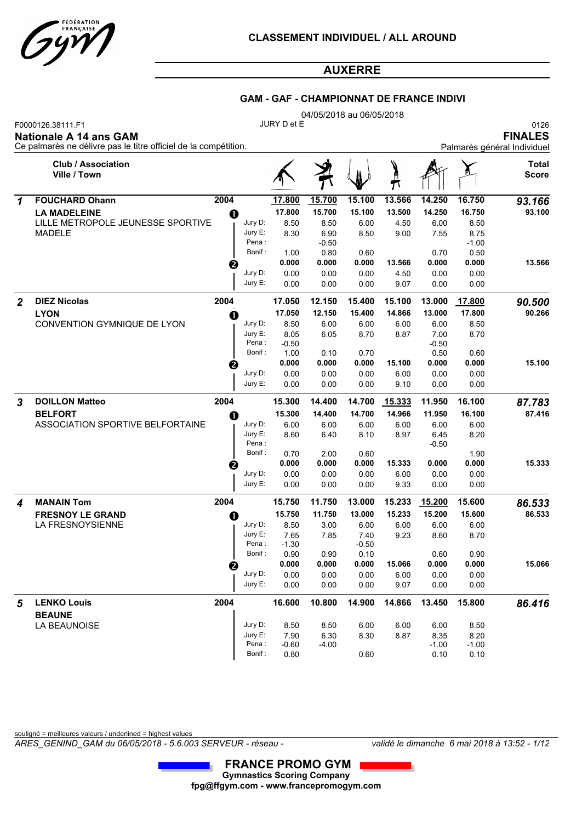

#### **GAM - GAF - CHAMPIONNAT DE FRANCE INDIVI**

|                  |                                                                                                                       |          |                    |                | 04/05/2018 au 06/05/2018 |                |                  |                  |                |                                                       |
|------------------|-----------------------------------------------------------------------------------------------------------------------|----------|--------------------|----------------|--------------------------|----------------|------------------|------------------|----------------|-------------------------------------------------------|
|                  | F0000126.38111.F1<br><b>Nationale A 14 ans GAM</b><br>Ce palmarès ne délivre pas le titre officiel de la compétition. |          |                    | JURY D et E    |                          |                |                  |                  |                | 0126<br><b>FINALES</b><br>Palmarès général Individuel |
|                  | <b>Club / Association</b><br>Ville / Town                                                                             |          |                    |                |                          |                |                  |                  |                | Total<br><b>Score</b>                                 |
| 1                | <b>FOUCHARD Ohann</b>                                                                                                 | 2004     |                    | 17.800         | 15.700                   | 15.100         | 13.566           | 14.250           | 16.750         | 93.166                                                |
|                  | <b>LA MADELEINE</b>                                                                                                   | $\bf{0}$ |                    | 17.800         | 15.700                   | 15.100         | 13.500           | 14.250           | 16.750         | 93.100                                                |
|                  | LILLE METROPOLE JEUNESSE SPORTIVE                                                                                     |          | Jury D:            | 8.50           | 8.50                     | 6.00           | 4.50             | 6.00             | 8.50           |                                                       |
|                  | MADELE                                                                                                                |          | Jury E:            | 8.30           | 6.90                     | 8.50           | 9.00             | 7.55             | 8.75           |                                                       |
|                  |                                                                                                                       |          | Pena:              |                | $-0.50$                  |                |                  |                  | $-1.00$        |                                                       |
|                  |                                                                                                                       |          | Bonif:             | 1.00           | 0.80                     | 0.60           |                  | 0.70             | 0.50           |                                                       |
|                  |                                                                                                                       | ❷        | Jury D:            | 0.000          | 0.000                    | 0.000          | 13.566           | 0.000            | 0.000          | 13.566                                                |
|                  |                                                                                                                       |          | Jury E:            | 0.00<br>0.00   | 0.00<br>0.00             | 0.00<br>0.00   | 4.50<br>9.07     | 0.00<br>0.00     | 0.00<br>0.00   |                                                       |
| 2                | <b>DIEZ Nicolas</b>                                                                                                   | 2004     |                    | 17.050         | 12.150                   | 15.400         | 15.100           | 13.000           | 17.800         | 90.500                                                |
|                  | <b>LYON</b>                                                                                                           |          |                    | 17.050         | 12.150                   | 15.400         | 14.866           | 13.000           | 17.800         | 90.266                                                |
|                  | CONVENTION GYMNIQUE DE LYON                                                                                           | O        | Jury D:            | 8.50           | 6.00                     | 6.00           | 6.00             | 6.00             | 8.50           |                                                       |
|                  |                                                                                                                       |          | Jury E:            | 8.05           | 6.05                     | 8.70           | 8.87             | 7.00             | 8.70           |                                                       |
|                  |                                                                                                                       |          | Pena:              | -0.50          |                          |                |                  | $-0.50$          |                |                                                       |
|                  |                                                                                                                       |          | Bonif:             | 1.00           | 0.10                     | 0.70           |                  | 0.50             | 0.60           |                                                       |
|                  |                                                                                                                       | ❷        |                    | 0.000          | 0.000                    | 0.000          | 15.100           | 0.000            | 0.000          | 15.100                                                |
|                  |                                                                                                                       |          | Jury D:<br>Jury E: | 0.00<br>0.00   | 0.00<br>0.00             | 0.00<br>0.00   | 6.00<br>9.10     | 0.00<br>0.00     | 0.00<br>0.00   |                                                       |
|                  | <b>DOILLON Matteo</b>                                                                                                 | 2004     |                    | 15.300         | 14.400                   | 14.700         | 15.333           | 11.950           | 16.100         |                                                       |
| $\boldsymbol{3}$ | <b>BELFORT</b>                                                                                                        |          |                    | 15.300         | 14.400                   | 14.700         | 14.966           | 11.950           | 16.100         | 87.783<br>87.416                                      |
|                  | ASSOCIATION SPORTIVE BELFORTAINE                                                                                      | O        | Jury D:            | 6.00           | 6.00                     | 6.00           | 6.00             | 6.00             | 6.00           |                                                       |
|                  |                                                                                                                       |          | Jury E:            | 8.60           | 6.40                     | 8.10           | 8.97             | 6.45             | 8.20           |                                                       |
|                  |                                                                                                                       |          | Pena:              |                |                          |                |                  | $-0.50$          |                |                                                       |
|                  |                                                                                                                       |          | Bonif:             | 0.70           | 2.00                     | 0.60           |                  |                  | 1.90           |                                                       |
|                  |                                                                                                                       | 0        |                    | 0.000          | 0.000                    | 0.000          | 15.333           | 0.000            | 0.000          | 15.333                                                |
|                  |                                                                                                                       |          | Jury D:            | 0.00           | 0.00                     | 0.00           | 6.00             | 0.00             | 0.00           |                                                       |
|                  |                                                                                                                       |          | Jury E:            | 0.00           | 0.00                     | 0.00           | 9.33             | 0.00             | 0.00           |                                                       |
| 4                | <b>MANAIN Tom</b>                                                                                                     | 2004     |                    | 15.750         | 11.750                   | 13.000         | 15.233<br>15.233 | 15.200<br>15.200 | 15.600         | 86.533                                                |
|                  | <b>FRESNOY LE GRAND</b><br>LA FRESNOYSIENNE                                                                           | O        | Jury D:            | 15.750<br>8.50 | 11.750<br>3.00           | 13.000<br>6.00 | 6.00             | 6.00             | 15.600<br>6.00 | 86.533                                                |
|                  |                                                                                                                       |          | Jury E:            | 7.65           | 7.85                     | 7.40           | 9.23             | 8.60             | 8.70           |                                                       |
|                  |                                                                                                                       |          | Pena:              | $-1.30$        |                          | $-0.50$        |                  |                  |                |                                                       |
|                  |                                                                                                                       |          | Bonif:             | 0.90           | 0.90                     | 0.10           |                  | 0.60             | 0.90           |                                                       |
|                  |                                                                                                                       | ❷        |                    | 0.000          | 0.000                    | 0.000          | 15.066           | 0.000            | 0.000          | 15.066                                                |
|                  |                                                                                                                       |          | Jury D:            | 0.00           | 0.00                     | 0.00           | 6.00             | 0.00             | 0.00           |                                                       |
|                  |                                                                                                                       |          | Jury E:            | 0.00           | 0.00                     | 0.00           | 9.07             | 0.00             | 0.00           |                                                       |
| 5                | <b>LENKO Louis</b>                                                                                                    | 2004     |                    | 16.600         | 10.800                   | 14.900         | 14.866           | 13.450           | 15.800         | 86.416                                                |
|                  | <b>BEAUNE</b><br>LA BEAUNOISE                                                                                         |          | Jury D:            | 8.50           | 8.50                     | 6.00           | 6.00             | 6.00             | 8.50           |                                                       |
|                  |                                                                                                                       |          | Jury E:            | 7.90           | 6.30                     | 8.30           | 8.87             | 8.35             | 8.20           |                                                       |
|                  |                                                                                                                       |          | Pena:              | $-0.60$        | $-4.00$                  |                |                  | $-1.00$          | $-1.00$        |                                                       |

souligné = meilleures valeurs / underlined = highest values

*ARES\_GENIND\_GAM du 06/05/2018 - 5.6.003 SERVEUR - réseau - validé le dimanche 6 mai 2018 à 13:52 - 1/12*

Bonif : 0.80 0.60 0.10 0.10

**Gymnastics Scoring Company fpg@ffgym.com - www.francepromogym.com FRANCE PROMO GYM**

 $\overline{1}$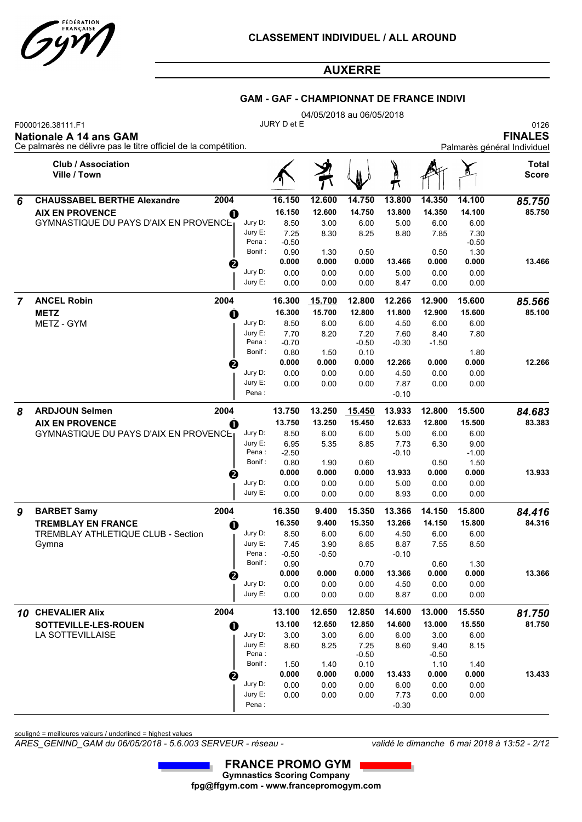

#### **GAM - GAF - CHAMPIONNAT DE FRANCE INDIVI**

|   |                                                    |                                                                                                                                                                                                                                                                                                                                                                                                                                                                                                                                                                                                                                                                                                                                                                                                                                                                                                                                                                                                                                                                                                                                                                                                                                                                                                                                                                                                                                                                                                                                                                                                                                                                                                                                  |                 |         | 04/05/2018 au 06/05/2018 |         |                 |        |                        |
|---|----------------------------------------------------|----------------------------------------------------------------------------------------------------------------------------------------------------------------------------------------------------------------------------------------------------------------------------------------------------------------------------------------------------------------------------------------------------------------------------------------------------------------------------------------------------------------------------------------------------------------------------------------------------------------------------------------------------------------------------------------------------------------------------------------------------------------------------------------------------------------------------------------------------------------------------------------------------------------------------------------------------------------------------------------------------------------------------------------------------------------------------------------------------------------------------------------------------------------------------------------------------------------------------------------------------------------------------------------------------------------------------------------------------------------------------------------------------------------------------------------------------------------------------------------------------------------------------------------------------------------------------------------------------------------------------------------------------------------------------------------------------------------------------------|-----------------|---------|--------------------------|---------|-----------------|--------|------------------------|
|   | F0000126.38111.F1<br><b>Nationale A 14 ans GAM</b> |                                                                                                                                                                                                                                                                                                                                                                                                                                                                                                                                                                                                                                                                                                                                                                                                                                                                                                                                                                                                                                                                                                                                                                                                                                                                                                                                                                                                                                                                                                                                                                                                                                                                                                                                  |                 |         |                          |         |                 |        | 0126<br><b>FINALES</b> |
|   | <b>Club / Association</b><br>Ville / Town          |                                                                                                                                                                                                                                                                                                                                                                                                                                                                                                                                                                                                                                                                                                                                                                                                                                                                                                                                                                                                                                                                                                                                                                                                                                                                                                                                                                                                                                                                                                                                                                                                                                                                                                                                  |                 |         |                          | )<br>M  |                 |        | Total<br><b>Score</b>  |
| 6 | <b>CHAUSSABEL BERTHE Alexandre</b>                 |                                                                                                                                                                                                                                                                                                                                                                                                                                                                                                                                                                                                                                                                                                                                                                                                                                                                                                                                                                                                                                                                                                                                                                                                                                                                                                                                                                                                                                                                                                                                                                                                                                                                                                                                  | 16.150          | 12.600  | 14.750                   | 13.800  | 14.350          | 14.100 | 85.750                 |
|   | <b>AIX EN PROVENCE</b>                             | JURY D et E<br>Ce palmarès ne délivre pas le titre officiel de la compétition.<br>Palmarès général Individuel<br>2004<br>16.150<br>12.600<br>14.750<br>13.800<br>14.350<br>14.100<br>$\mathbf 0$<br>Jury D:<br>8.50<br>5.00<br>6.00<br>6.00<br>3.00<br>6.00<br>Jury E:<br>7.25<br>8.30<br>8.25<br>7.30<br>8.80<br>7.85<br>Pena:<br>$-0.50$<br>$-0.50$<br>Bonif:<br>0.90<br>1.30<br>1.30<br>0.50<br>0.50<br>0.000<br>0.000<br>0.000<br>13.466<br>0.000<br>0.000<br>❷<br>Jury D:<br>0.00<br>0.00<br>0.00<br>0.00<br>5.00<br>0.00<br>Jury E:<br>0.00<br>8.47<br>0.00<br>0.00<br>0.00<br>0.00<br>2004<br>12.800<br>12.266<br>12.900<br>15.600<br>16.300<br>15.700<br>16.300<br>15.700<br>12.800<br>11.800<br>12.900<br>15.600<br>$\mathbf 0$<br>Jury D:<br>8.50<br>4.50<br>6.00<br>6.00<br>6.00<br>6.00<br>Jury E:<br>7.70<br>8.20<br>7.20<br>7.60<br>8.40<br>7.80<br>Pena:<br>$-0.70$<br>$-0.50$<br>$-0.30$<br>$-1.50$<br>Bonif:<br>1.80<br>0.80<br>1.50<br>0.10<br>12.266<br>0.000<br>0.000<br>0.000<br>12.266<br>0.000<br>0.000<br>❷<br>Jury D:<br>0.00<br>0.00<br>0.00<br>0.00<br>4.50<br>0.00<br>Jury E:<br>7.87<br>0.00<br>0.00<br>0.00<br>0.00<br>0.00<br>Pena:<br>$-0.10$<br>2004<br>13.750<br>13.250<br>15.450<br>13.933<br>12.800<br>15.500<br>13.750<br>13.250<br>12.633<br>12.800<br>15.500<br>15.450<br>$\mathbf 0$<br>Jury D:<br>5.00<br>6.00<br>8.50<br>6.00<br>6.00<br>6.00<br>Jury E:<br>9.00<br>6.95<br>5.35<br>8.85<br>7.73<br>6.30<br>Pena:<br>$-0.10$<br>$-1.00$<br>$-2.50$<br>Bonif:<br>1.50<br>0.80<br>1.90<br>0.60<br>0.50<br>0.000<br>0.000<br>0.000<br>0.000<br>0.000<br>13.933<br>❷<br>Jury D:<br>0.00<br>0.00<br>0.00<br>5.00<br>0.00<br>0.00<br>Jury E:<br>8.93<br>0.00<br>0.00<br>0.00<br>0.00<br>0.00 | 85.750          |         |                          |         |                 |        |                        |
|   | <b>GYMNASTIQUE DU PAYS D'AIX EN PROVENCE.</b>      |                                                                                                                                                                                                                                                                                                                                                                                                                                                                                                                                                                                                                                                                                                                                                                                                                                                                                                                                                                                                                                                                                                                                                                                                                                                                                                                                                                                                                                                                                                                                                                                                                                                                                                                                  |                 |         |                          |         |                 |        |                        |
|   |                                                    |                                                                                                                                                                                                                                                                                                                                                                                                                                                                                                                                                                                                                                                                                                                                                                                                                                                                                                                                                                                                                                                                                                                                                                                                                                                                                                                                                                                                                                                                                                                                                                                                                                                                                                                                  |                 |         |                          |         |                 |        |                        |
|   |                                                    |                                                                                                                                                                                                                                                                                                                                                                                                                                                                                                                                                                                                                                                                                                                                                                                                                                                                                                                                                                                                                                                                                                                                                                                                                                                                                                                                                                                                                                                                                                                                                                                                                                                                                                                                  |                 |         |                          |         |                 |        |                        |
|   |                                                    |                                                                                                                                                                                                                                                                                                                                                                                                                                                                                                                                                                                                                                                                                                                                                                                                                                                                                                                                                                                                                                                                                                                                                                                                                                                                                                                                                                                                                                                                                                                                                                                                                                                                                                                                  |                 |         |                          |         |                 |        | 13.466                 |
|   |                                                    |                                                                                                                                                                                                                                                                                                                                                                                                                                                                                                                                                                                                                                                                                                                                                                                                                                                                                                                                                                                                                                                                                                                                                                                                                                                                                                                                                                                                                                                                                                                                                                                                                                                                                                                                  |                 |         |                          |         |                 |        |                        |
|   |                                                    |                                                                                                                                                                                                                                                                                                                                                                                                                                                                                                                                                                                                                                                                                                                                                                                                                                                                                                                                                                                                                                                                                                                                                                                                                                                                                                                                                                                                                                                                                                                                                                                                                                                                                                                                  |                 |         |                          |         |                 |        |                        |
| 7 | <b>ANCEL Robin</b>                                 |                                                                                                                                                                                                                                                                                                                                                                                                                                                                                                                                                                                                                                                                                                                                                                                                                                                                                                                                                                                                                                                                                                                                                                                                                                                                                                                                                                                                                                                                                                                                                                                                                                                                                                                                  |                 |         |                          |         |                 |        | 85.566                 |
|   | <b>METZ</b>                                        |                                                                                                                                                                                                                                                                                                                                                                                                                                                                                                                                                                                                                                                                                                                                                                                                                                                                                                                                                                                                                                                                                                                                                                                                                                                                                                                                                                                                                                                                                                                                                                                                                                                                                                                                  |                 |         |                          |         |                 |        | 85.100                 |
|   | METZ - GYM                                         |                                                                                                                                                                                                                                                                                                                                                                                                                                                                                                                                                                                                                                                                                                                                                                                                                                                                                                                                                                                                                                                                                                                                                                                                                                                                                                                                                                                                                                                                                                                                                                                                                                                                                                                                  |                 |         |                          |         |                 |        |                        |
|   |                                                    |                                                                                                                                                                                                                                                                                                                                                                                                                                                                                                                                                                                                                                                                                                                                                                                                                                                                                                                                                                                                                                                                                                                                                                                                                                                                                                                                                                                                                                                                                                                                                                                                                                                                                                                                  |                 |         |                          |         |                 |        |                        |
|   |                                                    |                                                                                                                                                                                                                                                                                                                                                                                                                                                                                                                                                                                                                                                                                                                                                                                                                                                                                                                                                                                                                                                                                                                                                                                                                                                                                                                                                                                                                                                                                                                                                                                                                                                                                                                                  |                 |         |                          |         |                 |        |                        |
|   |                                                    |                                                                                                                                                                                                                                                                                                                                                                                                                                                                                                                                                                                                                                                                                                                                                                                                                                                                                                                                                                                                                                                                                                                                                                                                                                                                                                                                                                                                                                                                                                                                                                                                                                                                                                                                  |                 |         |                          |         |                 |        |                        |
|   |                                                    |                                                                                                                                                                                                                                                                                                                                                                                                                                                                                                                                                                                                                                                                                                                                                                                                                                                                                                                                                                                                                                                                                                                                                                                                                                                                                                                                                                                                                                                                                                                                                                                                                                                                                                                                  |                 |         |                          |         |                 |        |                        |
|   |                                                    |                                                                                                                                                                                                                                                                                                                                                                                                                                                                                                                                                                                                                                                                                                                                                                                                                                                                                                                                                                                                                                                                                                                                                                                                                                                                                                                                                                                                                                                                                                                                                                                                                                                                                                                                  |                 |         |                          |         |                 |        |                        |
|   |                                                    |                                                                                                                                                                                                                                                                                                                                                                                                                                                                                                                                                                                                                                                                                                                                                                                                                                                                                                                                                                                                                                                                                                                                                                                                                                                                                                                                                                                                                                                                                                                                                                                                                                                                                                                                  |                 |         |                          |         |                 |        |                        |
| 8 | <b>ARDJOUN Selmen</b>                              |                                                                                                                                                                                                                                                                                                                                                                                                                                                                                                                                                                                                                                                                                                                                                                                                                                                                                                                                                                                                                                                                                                                                                                                                                                                                                                                                                                                                                                                                                                                                                                                                                                                                                                                                  |                 |         |                          |         |                 |        | 84.683                 |
|   | <b>AIX EN PROVENCE</b>                             |                                                                                                                                                                                                                                                                                                                                                                                                                                                                                                                                                                                                                                                                                                                                                                                                                                                                                                                                                                                                                                                                                                                                                                                                                                                                                                                                                                                                                                                                                                                                                                                                                                                                                                                                  | 83.383          |         |                          |         |                 |        |                        |
|   | <b>GYMNASTIQUE DU PAYS D'AIX EN PROVENCE</b>       |                                                                                                                                                                                                                                                                                                                                                                                                                                                                                                                                                                                                                                                                                                                                                                                                                                                                                                                                                                                                                                                                                                                                                                                                                                                                                                                                                                                                                                                                                                                                                                                                                                                                                                                                  |                 |         |                          |         |                 |        |                        |
|   |                                                    |                                                                                                                                                                                                                                                                                                                                                                                                                                                                                                                                                                                                                                                                                                                                                                                                                                                                                                                                                                                                                                                                                                                                                                                                                                                                                                                                                                                                                                                                                                                                                                                                                                                                                                                                  |                 |         |                          |         |                 |        |                        |
|   |                                                    |                                                                                                                                                                                                                                                                                                                                                                                                                                                                                                                                                                                                                                                                                                                                                                                                                                                                                                                                                                                                                                                                                                                                                                                                                                                                                                                                                                                                                                                                                                                                                                                                                                                                                                                                  |                 |         |                          |         |                 |        |                        |
|   |                                                    |                                                                                                                                                                                                                                                                                                                                                                                                                                                                                                                                                                                                                                                                                                                                                                                                                                                                                                                                                                                                                                                                                                                                                                                                                                                                                                                                                                                                                                                                                                                                                                                                                                                                                                                                  |                 |         |                          |         |                 |        | 13.933                 |
|   |                                                    |                                                                                                                                                                                                                                                                                                                                                                                                                                                                                                                                                                                                                                                                                                                                                                                                                                                                                                                                                                                                                                                                                                                                                                                                                                                                                                                                                                                                                                                                                                                                                                                                                                                                                                                                  |                 |         |                          |         |                 |        |                        |
|   |                                                    |                                                                                                                                                                                                                                                                                                                                                                                                                                                                                                                                                                                                                                                                                                                                                                                                                                                                                                                                                                                                                                                                                                                                                                                                                                                                                                                                                                                                                                                                                                                                                                                                                                                                                                                                  |                 |         |                          |         |                 |        |                        |
| 9 | 2004<br><b>BARBET Samy</b>                         |                                                                                                                                                                                                                                                                                                                                                                                                                                                                                                                                                                                                                                                                                                                                                                                                                                                                                                                                                                                                                                                                                                                                                                                                                                                                                                                                                                                                                                                                                                                                                                                                                                                                                                                                  | 16.350          | 9.400   | 15.350                   | 13.366  | 14.150          | 15.800 | 84.416                 |
|   | <b>TREMBLAY EN FRANCE</b>                          | O                                                                                                                                                                                                                                                                                                                                                                                                                                                                                                                                                                                                                                                                                                                                                                                                                                                                                                                                                                                                                                                                                                                                                                                                                                                                                                                                                                                                                                                                                                                                                                                                                                                                                                                                | 16.350          | 9.400   | 15.350                   | 13.266  | 14.150          | 15.800 | 84.316                 |
|   | TREMBLAY ATHLETIQUE CLUB - Section                 | Jury D:                                                                                                                                                                                                                                                                                                                                                                                                                                                                                                                                                                                                                                                                                                                                                                                                                                                                                                                                                                                                                                                                                                                                                                                                                                                                                                                                                                                                                                                                                                                                                                                                                                                                                                                          | 8.50            | 6.00    | 6.00                     | 4.50    | 6.00            | 6.00   |                        |
|   | Gymna                                              | Jury E:                                                                                                                                                                                                                                                                                                                                                                                                                                                                                                                                                                                                                                                                                                                                                                                                                                                                                                                                                                                                                                                                                                                                                                                                                                                                                                                                                                                                                                                                                                                                                                                                                                                                                                                          | 7.45            | 3.90    | 8.65                     | 8.87    | 7.55            | 8.50   |                        |
|   |                                                    | Pena:<br>Bonif:                                                                                                                                                                                                                                                                                                                                                                                                                                                                                                                                                                                                                                                                                                                                                                                                                                                                                                                                                                                                                                                                                                                                                                                                                                                                                                                                                                                                                                                                                                                                                                                                                                                                                                                  | $-0.50$<br>0.90 | $-0.50$ | 0.70                     | $-0.10$ | 0.60            | 1.30   |                        |
|   |                                                    |                                                                                                                                                                                                                                                                                                                                                                                                                                                                                                                                                                                                                                                                                                                                                                                                                                                                                                                                                                                                                                                                                                                                                                                                                                                                                                                                                                                                                                                                                                                                                                                                                                                                                                                                  | 0.000           | 0.000   | 0.000                    | 13.366  | 0.000           | 0.000  | 13.366                 |
|   |                                                    | ❷<br>Jury D:                                                                                                                                                                                                                                                                                                                                                                                                                                                                                                                                                                                                                                                                                                                                                                                                                                                                                                                                                                                                                                                                                                                                                                                                                                                                                                                                                                                                                                                                                                                                                                                                                                                                                                                     | 0.00            | 0.00    | 0.00                     | 4.50    | 0.00            | 0.00   |                        |
|   |                                                    | Jury E:                                                                                                                                                                                                                                                                                                                                                                                                                                                                                                                                                                                                                                                                                                                                                                                                                                                                                                                                                                                                                                                                                                                                                                                                                                                                                                                                                                                                                                                                                                                                                                                                                                                                                                                          | 0.00            | 0.00    | 0.00                     | 8.87    | 0.00            | 0.00   |                        |
|   | 2004<br>10 CHEVALIER Alix                          |                                                                                                                                                                                                                                                                                                                                                                                                                                                                                                                                                                                                                                                                                                                                                                                                                                                                                                                                                                                                                                                                                                                                                                                                                                                                                                                                                                                                                                                                                                                                                                                                                                                                                                                                  | 13.100          | 12.650  | 12.850                   | 14.600  | 13.000          | 15.550 | 81.750                 |
|   | SOTTEVILLE-LES-ROUEN                               | $\mathbf 0$                                                                                                                                                                                                                                                                                                                                                                                                                                                                                                                                                                                                                                                                                                                                                                                                                                                                                                                                                                                                                                                                                                                                                                                                                                                                                                                                                                                                                                                                                                                                                                                                                                                                                                                      | 13.100          | 12.650  | 12.850                   | 14.600  | 13.000          | 15.550 | 81.750                 |
|   | LA SOTTEVILLAISE                                   | Jury D:                                                                                                                                                                                                                                                                                                                                                                                                                                                                                                                                                                                                                                                                                                                                                                                                                                                                                                                                                                                                                                                                                                                                                                                                                                                                                                                                                                                                                                                                                                                                                                                                                                                                                                                          | 3.00            | 3.00    | 6.00                     | 6.00    | 3.00            | 6.00   |                        |
|   |                                                    | Jury E:<br>Pena:                                                                                                                                                                                                                                                                                                                                                                                                                                                                                                                                                                                                                                                                                                                                                                                                                                                                                                                                                                                                                                                                                                                                                                                                                                                                                                                                                                                                                                                                                                                                                                                                                                                                                                                 | 8.60            | 8.25    | 7.25<br>$-0.50$          | 8.60    | 9.40            | 8.15   |                        |
|   |                                                    | Bonif:                                                                                                                                                                                                                                                                                                                                                                                                                                                                                                                                                                                                                                                                                                                                                                                                                                                                                                                                                                                                                                                                                                                                                                                                                                                                                                                                                                                                                                                                                                                                                                                                                                                                                                                           | 1.50            | 1.40    | 0.10                     |         | $-0.50$<br>1.10 | 1.40   |                        |
|   |                                                    | ❷                                                                                                                                                                                                                                                                                                                                                                                                                                                                                                                                                                                                                                                                                                                                                                                                                                                                                                                                                                                                                                                                                                                                                                                                                                                                                                                                                                                                                                                                                                                                                                                                                                                                                                                                | 0.000           | 0.000   | 0.000                    | 13.433  | 0.000           | 0.000  | 13.433                 |
|   |                                                    | Jury D:                                                                                                                                                                                                                                                                                                                                                                                                                                                                                                                                                                                                                                                                                                                                                                                                                                                                                                                                                                                                                                                                                                                                                                                                                                                                                                                                                                                                                                                                                                                                                                                                                                                                                                                          | 0.00            | 0.00    | 0.00                     | 6.00    | 0.00            | 0.00   |                        |
|   |                                                    | Jury E:                                                                                                                                                                                                                                                                                                                                                                                                                                                                                                                                                                                                                                                                                                                                                                                                                                                                                                                                                                                                                                                                                                                                                                                                                                                                                                                                                                                                                                                                                                                                                                                                                                                                                                                          | 0.00            | 0.00    | 0.00                     | 7.73    | 0.00            | 0.00   |                        |
|   |                                                    | Pena:                                                                                                                                                                                                                                                                                                                                                                                                                                                                                                                                                                                                                                                                                                                                                                                                                                                                                                                                                                                                                                                                                                                                                                                                                                                                                                                                                                                                                                                                                                                                                                                                                                                                                                                            |                 |         |                          | $-0.30$ |                 |        |                        |

souligné = meilleures valeurs / underlined = highest values

*ARES\_GENIND\_GAM du 06/05/2018 - 5.6.003 SERVEUR - réseau - validé le dimanche 6 mai 2018 à 13:52 - 2/12*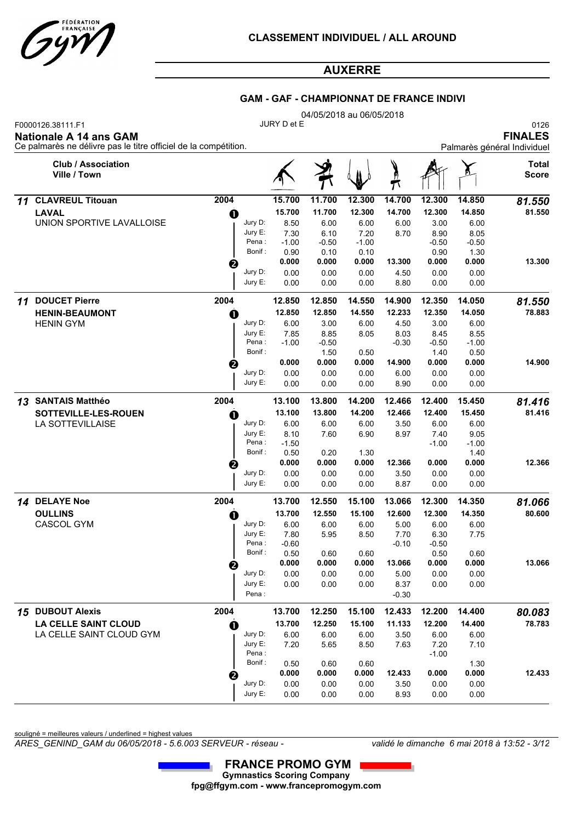

#### **GAM - GAF - CHAMPIONNAT DE FRANCE INDIVI**

|                                                                                                                       |                  | 04/05/2018 au 06/05/2018 |                 |                 |         |                 |                 |                                                       |  |  |  |  |  |
|-----------------------------------------------------------------------------------------------------------------------|------------------|--------------------------|-----------------|-----------------|---------|-----------------|-----------------|-------------------------------------------------------|--|--|--|--|--|
| F0000126.38111.F1<br><b>Nationale A 14 ans GAM</b><br>Ce palmarès ne délivre pas le titre officiel de la compétition. |                  | JURY D et E              |                 |                 |         |                 |                 | 0126<br><b>FINALES</b><br>Palmarès général Individuel |  |  |  |  |  |
| <b>Club / Association</b><br>Ville / Town                                                                             |                  |                          |                 |                 |         |                 |                 | Total<br><b>Score</b>                                 |  |  |  |  |  |
| <b>CLAVREUL Titouan</b><br>11                                                                                         | 2004             | 15.700                   | 11.700          | 12.300          | 14.700  | 12.300          | 14.850          | 81.550                                                |  |  |  |  |  |
| <b>LAVAL</b>                                                                                                          | O                | 15.700                   | 11.700          | 12.300          | 14.700  | 12.300          | 14.850          | 81.550                                                |  |  |  |  |  |
| UNION SPORTIVE LAVALLOISE                                                                                             | Jury D:          | 8.50                     | 6.00            | 6.00            | 6.00    | 3.00            | 6.00            |                                                       |  |  |  |  |  |
|                                                                                                                       | Jury E:          | 7.30                     | 6.10            | 7.20            | 8.70    | 8.90            | 8.05            |                                                       |  |  |  |  |  |
|                                                                                                                       | Pena :<br>Bonif: | $-1.00$<br>0.90          | $-0.50$<br>0.10 | $-1.00$<br>0.10 |         | $-0.50$<br>0.90 | $-0.50$<br>1.30 |                                                       |  |  |  |  |  |
|                                                                                                                       | ❷                | 0.000                    | 0.000           | 0.000           | 13.300  | 0.000           | 0.000           | 13.300                                                |  |  |  |  |  |
|                                                                                                                       | Jury D:          | 0.00                     | 0.00            | 0.00            | 4.50    | 0.00            | 0.00            |                                                       |  |  |  |  |  |
|                                                                                                                       | Jury E:          | 0.00                     | 0.00            | 0.00            | 8.80    | 0.00            | 0.00            |                                                       |  |  |  |  |  |
| <b>DOUCET Pierre</b><br>11                                                                                            | 2004             | 12.850                   | 12.850          | 14.550          | 14.900  | 12.350          | 14.050          | 81.550                                                |  |  |  |  |  |
| <b>HENIN-BEAUMONT</b>                                                                                                 | 0                | 12.850                   | 12.850          | 14.550          | 12.233  | 12.350          | 14.050          | 78.883                                                |  |  |  |  |  |
| <b>HENIN GYM</b>                                                                                                      | Jury D:          | 6.00                     | 3.00            | 6.00            | 4.50    | 3.00            | 6.00            |                                                       |  |  |  |  |  |
|                                                                                                                       | Jury E:          | 7.85                     | 8.85            | 8.05            | 8.03    | 8.45            | 8.55            |                                                       |  |  |  |  |  |
|                                                                                                                       | Pena :<br>Bonif: | $-1.00$                  | $-0.50$<br>1.50 | 0.50            | $-0.30$ | $-0.50$<br>1.40 | $-1.00$<br>0.50 |                                                       |  |  |  |  |  |
|                                                                                                                       | €                | 0.000                    | 0.000           | 0.000           | 14.900  | 0.000           | 0.000           | 14.900                                                |  |  |  |  |  |
|                                                                                                                       | Jury D:          | 0.00                     | 0.00            | 0.00            | 6.00    | 0.00            | 0.00            |                                                       |  |  |  |  |  |
|                                                                                                                       | Jury E:          | 0.00                     | 0.00            | 0.00            | 8.90    | 0.00            | 0.00            |                                                       |  |  |  |  |  |
| <b>SANTAIS Matthéo</b><br>13                                                                                          | 2004             | 13.100                   | 13.800          | 14.200          | 12.466  | 12.400          | 15.450          | 81.416                                                |  |  |  |  |  |
| SOTTEVILLE-LES-ROUEN                                                                                                  | O                | 13.100                   | 13.800          | 14.200          | 12.466  | 12.400          | 15.450          | 81.416                                                |  |  |  |  |  |
| LA SOTTEVILLAISE                                                                                                      | Jury D:          | 6.00                     | 6.00            | 6.00            | 3.50    | 6.00            | 6.00            |                                                       |  |  |  |  |  |
|                                                                                                                       | Jury E:          | 8.10                     | 7.60            | 6.90            | 8.97    | 7.40            | 9.05            |                                                       |  |  |  |  |  |
|                                                                                                                       | Pena :<br>Bonif: | $-1.50$<br>0.50          | 0.20            | 1.30            |         | $-1.00$         | $-1.00$<br>1.40 |                                                       |  |  |  |  |  |
|                                                                                                                       | €                | 0.000                    | 0.000           | 0.000           | 12.366  | 0.000           | 0.000           | 12.366                                                |  |  |  |  |  |
|                                                                                                                       | Jury D:          | 0.00                     | 0.00            | 0.00            | 3.50    | 0.00            | 0.00            |                                                       |  |  |  |  |  |
|                                                                                                                       | Jury E:          | 0.00                     | 0.00            | 0.00            | 8.87    | 0.00            | 0.00            |                                                       |  |  |  |  |  |
| 14 DELAYE Noe                                                                                                         | 2004             | 13.700                   | 12.550          | 15.100          | 13.066  | 12.300          | 14.350          | 81.066                                                |  |  |  |  |  |
| <b>OULLINS</b>                                                                                                        | a                | 13.700                   | 12.550          | 15.100          | 12.600  | 12.300          | 14.350          | 80.600                                                |  |  |  |  |  |
| CASCOL GYM                                                                                                            | Jury D:          | 6.00                     | 6.00            | 6.00            | 5.00    | 6.00            | 6.00            |                                                       |  |  |  |  |  |
|                                                                                                                       | Jury E:<br>Pena: | 7.80                     | 5.95            | 8.50            | 7.70    | 6.30            | 7.75            |                                                       |  |  |  |  |  |
|                                                                                                                       | Bonif:           | $-0.60$<br>0.50          | 0.60            | 0.60            | $-0.10$ | $-0.50$<br>0.50 | 0.60            |                                                       |  |  |  |  |  |
|                                                                                                                       | €                | 0.000                    | 0.000           | 0.000           | 13.066  | 0.000           | 0.000           | 13.066                                                |  |  |  |  |  |
|                                                                                                                       | Jury D:          | 0.00                     | 0.00            | 0.00            | 5.00    | 0.00            | 0.00            |                                                       |  |  |  |  |  |
|                                                                                                                       | Jury E:          | 0.00                     | 0.00            | 0.00            | 8.37    | 0.00            | 0.00            |                                                       |  |  |  |  |  |
|                                                                                                                       | Pena :           |                          |                 |                 | $-0.30$ |                 |                 |                                                       |  |  |  |  |  |
| 15 DUBOUT Alexis                                                                                                      | 2004             | 13.700                   | 12.250          | 15.100          | 12.433  | 12.200          | 14.400          | 80.083                                                |  |  |  |  |  |
| <b>LA CELLE SAINT CLOUD</b>                                                                                           | $\bf{0}$         | 13.700                   | 12.250          | 15.100          | 11.133  | 12.200          | 14.400          | 78.783                                                |  |  |  |  |  |
| LA CELLE SAINT CLOUD GYM                                                                                              | Jury D:          | 6.00                     | 6.00            | 6.00            | 3.50    | 6.00            | 6.00            |                                                       |  |  |  |  |  |
|                                                                                                                       | Jury E:<br>Pena: | 7.20                     | 5.65            | 8.50            | 7.63    | 7.20<br>$-1.00$ | 7.10            |                                                       |  |  |  |  |  |
|                                                                                                                       | Bonif:           | 0.50                     | 0.60            | 0.60            |         |                 | 1.30            |                                                       |  |  |  |  |  |
|                                                                                                                       | €                | 0.000                    | 0.000           | 0.000           | 12.433  | 0.000           | 0.000           | 12.433                                                |  |  |  |  |  |
|                                                                                                                       | Jury D:          | 0.00                     | 0.00            | 0.00            | 3.50    | 0.00            | 0.00            |                                                       |  |  |  |  |  |
|                                                                                                                       | Jury E:          | 0.00                     | 0.00            | 0.00            | 8.93    | 0.00            | 0.00            |                                                       |  |  |  |  |  |

souligné = meilleures valeurs / underlined = highest values

*ARES\_GENIND\_GAM du 06/05/2018 - 5.6.003 SERVEUR - réseau - validé le dimanche 6 mai 2018 à 13:52 - 3/12*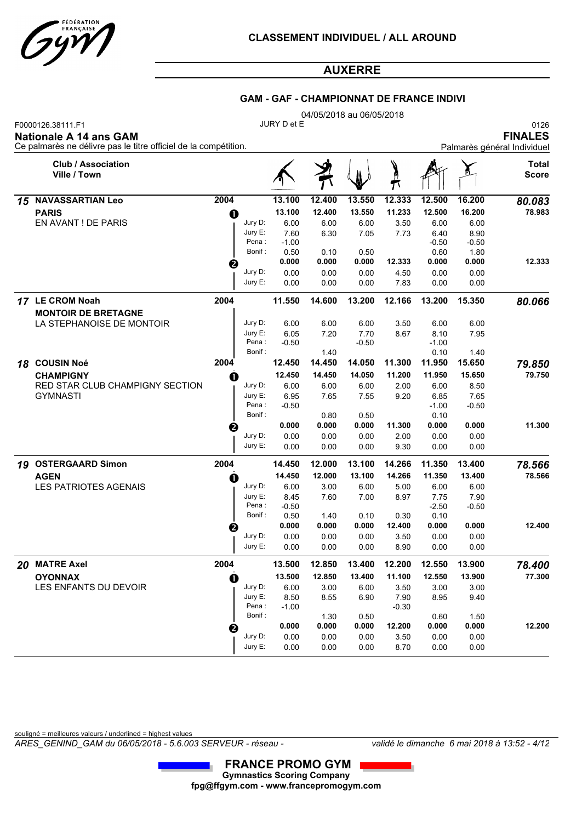

#### **GAM - GAF - CHAMPIONNAT DE FRANCE INDIVI**

|    |                                                                                                                       |      |                       |                 | 04/05/2018 au 06/05/2018 |                |                 |                 |                 |                                                       |
|----|-----------------------------------------------------------------------------------------------------------------------|------|-----------------------|-----------------|--------------------------|----------------|-----------------|-----------------|-----------------|-------------------------------------------------------|
|    | F0000126.38111.F1<br><b>Nationale A 14 ans GAM</b><br>Ce palmarès ne délivre pas le titre officiel de la compétition. |      |                       | JURY D et E     |                          |                |                 |                 |                 | 0126<br><b>FINALES</b><br>Palmarès général Individuel |
|    | <b>Club / Association</b><br>Ville / Town                                                                             |      |                       |                 |                          |                |                 |                 |                 | Total<br><b>Score</b>                                 |
| 15 | <b>NAVASSARTIAN Leo</b>                                                                                               | 2004 |                       | 13.100          | 12.400                   | 13.550         | 12.333          | 12.500          | 16.200          | 80.083                                                |
|    | <b>PARIS</b>                                                                                                          | O    |                       | 13.100          | 12.400                   | 13.550         | 11.233          | 12.500          | 16.200          | 78.983                                                |
|    | EN AVANT ! DE PARIS                                                                                                   |      | Jury D:               | 6.00            | 6.00                     | 6.00           | 3.50            | 6.00            | 6.00            |                                                       |
|    |                                                                                                                       |      | Jury E:               | 7.60            | 6.30                     | 7.05           | 7.73            | 6.40            | 8.90            |                                                       |
|    |                                                                                                                       |      | Pena :<br>Bonif:      | $-1.00$<br>0.50 | 0.10                     | 0.50           |                 | $-0.50$<br>0.60 | $-0.50$<br>1.80 |                                                       |
|    |                                                                                                                       |      |                       | 0.000           | 0.000                    | 0.000          | 12.333          | 0.000           | 0.000           | 12.333                                                |
|    |                                                                                                                       | ❷    | Jury D:               | 0.00            | 0.00                     | 0.00           | 4.50            | 0.00            | 0.00            |                                                       |
|    |                                                                                                                       |      | Jury E:               | 0.00            | 0.00                     | 0.00           | 7.83            | 0.00            | 0.00            |                                                       |
|    | 17 LE CROM Noah                                                                                                       | 2004 |                       | 11.550          | 14.600                   | 13.200         | 12.166          | 13.200          | 15.350          | 80.066                                                |
|    | <b>MONTOIR DE BRETAGNE</b>                                                                                            |      |                       |                 |                          |                |                 |                 |                 |                                                       |
|    | LA STEPHANOISE DE MONTOIR                                                                                             |      | Jury D:               | 6.00            | 6.00                     | 6.00           | 3.50            | 6.00            | 6.00            |                                                       |
|    |                                                                                                                       |      | Jury E:               | 6.05            | 7.20                     | 7.70           | 8.67            | 8.10            | 7.95            |                                                       |
|    |                                                                                                                       |      | Pena:<br>Bonif:       | $-0.50$         | 1.40                     | $-0.50$        |                 | $-1.00$<br>0.10 | 1.40            |                                                       |
| 18 | <b>COUSIN Noé</b>                                                                                                     | 2004 |                       | 12.450          | 14.450                   | 14.050         | 11.300          | 11.950          | 15.650          | 79.850                                                |
|    | <b>CHAMPIGNY</b>                                                                                                      | O    |                       | 12.450          | 14.450                   | 14.050         | 11.200          | 11.950          | 15.650          | 79.750                                                |
|    | RED STAR CLUB CHAMPIGNY SECTION                                                                                       |      | Jury D:               | 6.00            | 6.00                     | 6.00           | 2.00            | 6.00            | 8.50            |                                                       |
|    | <b>GYMNASTI</b>                                                                                                       |      | Jury E:               | 6.95            | 7.65                     | 7.55           | 9.20            | 6.85            | 7.65            |                                                       |
|    |                                                                                                                       |      | Pena:                 | $-0.50$         |                          |                |                 | $-1.00$         | $-0.50$         |                                                       |
|    |                                                                                                                       |      | Bonif:                |                 | 0.80                     | 0.50           |                 | 0.10            |                 |                                                       |
|    |                                                                                                                       | ❷    |                       | 0.000           | 0.000                    | 0.000          | 11.300          | 0.000           | 0.000           | 11.300                                                |
|    |                                                                                                                       |      | Jury D:<br>Jury $E$ : | 0.00            | 0.00                     | 0.00           | 2.00            | 0.00            | 0.00            |                                                       |
|    |                                                                                                                       |      |                       | 0.00            | 0.00                     | 0.00           | 9.30            | 0.00            | 0.00            |                                                       |
|    | 19 OSTERGAARD Simon                                                                                                   | 2004 |                       | 14.450          | 12.000                   | 13.100         | 14.266          | 11.350          | 13.400          | 78.566                                                |
|    | <b>AGEN</b><br>LES PATRIOTES AGENAIS                                                                                  | O    | Jury D:               | 14.450<br>6.00  | 12.000<br>3.00           | 13.100<br>6.00 | 14.266<br>5.00  | 11.350<br>6.00  | 13.400<br>6.00  | 78.566                                                |
|    |                                                                                                                       |      | Jury E:               | 8.45            | 7.60                     | 7.00           | 8.97            | 7.75            | 7.90            |                                                       |
|    |                                                                                                                       |      | Pena:                 | $-0.50$         |                          |                |                 | $-2.50$         | $-0.50$         |                                                       |
|    |                                                                                                                       |      | Bonif:                | 0.50            | 1.40                     | 0.10           | 0.30            | 0.10            |                 |                                                       |
|    |                                                                                                                       | ❷    |                       | 0.000           | 0.000                    | 0.000          | 12.400          | 0.000           | 0.000           | 12.400                                                |
|    |                                                                                                                       |      | Jury D:<br>Jury E:    | 0.00            | 0.00                     | 0.00           | 3.50            | 0.00            | 0.00            |                                                       |
|    |                                                                                                                       |      |                       | 0.00            | 0.00                     | 0.00           | 8.90            | 0.00            | 0.00            |                                                       |
|    | 20 MATRE Axel                                                                                                         | 2004 |                       | 13.500          | 12.850                   | 13.400         | 12.200          | 12.550          | 13.900          | 78.400                                                |
|    | <b>OYONNAX</b>                                                                                                        | 0    |                       | 13.500          | 12.850                   | 13.400         | 11.100          | 12.550          | 13.900          | 77.300                                                |
|    | LES ENFANTS DU DEVOIR                                                                                                 |      | Jury D:               | 6.00            | 3.00                     | 6.00           | 3.50            | 3.00            | 3.00            |                                                       |
|    |                                                                                                                       |      | Jury E:<br>Pena:      | 8.50<br>$-1.00$ | 8.55                     | 6.90           | 7.90<br>$-0.30$ | 8.95            | 9.40            |                                                       |
|    |                                                                                                                       |      | Bonif:                |                 | 1.30                     | 0.50           |                 | 0.60            | 1.50            |                                                       |
|    |                                                                                                                       | 2    |                       | 0.000           | 0.000                    | 0.000          | 12.200          | 0.000           | 0.000           | 12.200                                                |
|    |                                                                                                                       |      | Jury D:               | 0.00            | 0.00                     | 0.00           | 3.50            | 0.00            | 0.00            |                                                       |
|    |                                                                                                                       |      | Jury E:               | 0.00            | 0.00                     | 0.00           | 8.70            | 0.00            | 0.00            |                                                       |

souligné = meilleures valeurs / underlined = highest values

*ARES\_GENIND\_GAM du 06/05/2018 - 5.6.003 SERVEUR - réseau - validé le dimanche 6 mai 2018 à 13:52 - 4/12*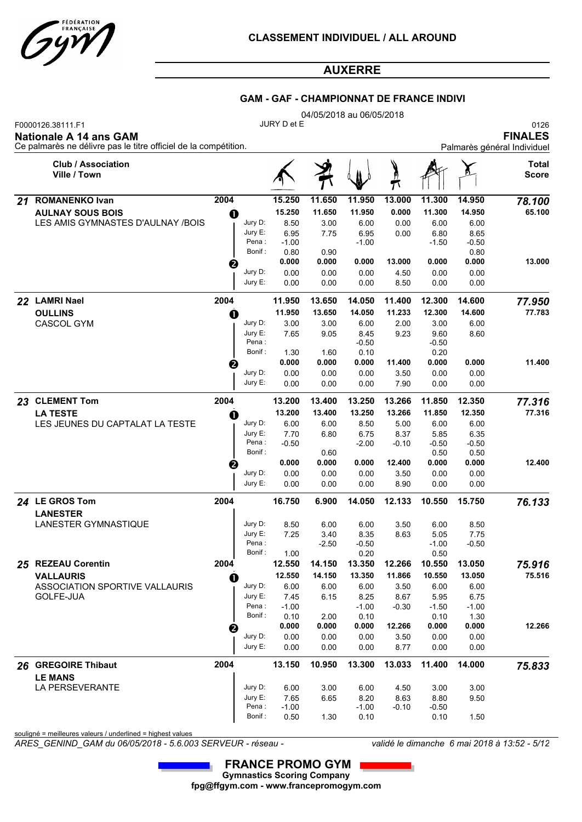

#### **GAM - GAF - CHAMPIONNAT DE FRANCE INDIVI**

|    | F0000126.38111.F1<br><b>Nationale A 14 ans GAM</b> |                                                                                                                                                                                                                                                                                                                                                                                                                                                                                                                                                                                                                                                                                                                                                                                                                                                                                                                                                                                                                                                                                                                                                                                                                                                                                                                                                                                                                                                                                                                                                                                                                                                                                             |                    |                 |              |                 |                 |                 |              | 0126<br><b>FINALES</b>       |
|----|----------------------------------------------------|---------------------------------------------------------------------------------------------------------------------------------------------------------------------------------------------------------------------------------------------------------------------------------------------------------------------------------------------------------------------------------------------------------------------------------------------------------------------------------------------------------------------------------------------------------------------------------------------------------------------------------------------------------------------------------------------------------------------------------------------------------------------------------------------------------------------------------------------------------------------------------------------------------------------------------------------------------------------------------------------------------------------------------------------------------------------------------------------------------------------------------------------------------------------------------------------------------------------------------------------------------------------------------------------------------------------------------------------------------------------------------------------------------------------------------------------------------------------------------------------------------------------------------------------------------------------------------------------------------------------------------------------------------------------------------------------|--------------------|-----------------|--------------|-----------------|-----------------|-----------------|--------------|------------------------------|
|    | <b>Club / Association</b><br>Ville / Town          |                                                                                                                                                                                                                                                                                                                                                                                                                                                                                                                                                                                                                                                                                                                                                                                                                                                                                                                                                                                                                                                                                                                                                                                                                                                                                                                                                                                                                                                                                                                                                                                                                                                                                             |                    |                 |              |                 |                 |                 |              | <b>Total</b><br><b>Score</b> |
| 21 | <b>ROMANENKO Ivan</b>                              | 2004                                                                                                                                                                                                                                                                                                                                                                                                                                                                                                                                                                                                                                                                                                                                                                                                                                                                                                                                                                                                                                                                                                                                                                                                                                                                                                                                                                                                                                                                                                                                                                                                                                                                                        |                    | 15.250          | 11.650       | 11.950          | 13.000          | 11.300          | 14.950       | 78.100                       |
|    | <b>AULNAY SOUS BOIS</b>                            |                                                                                                                                                                                                                                                                                                                                                                                                                                                                                                                                                                                                                                                                                                                                                                                                                                                                                                                                                                                                                                                                                                                                                                                                                                                                                                                                                                                                                                                                                                                                                                                                                                                                                             |                    | 15.250          | 11.650       | 11.950          | 0.000           | 11.300          | 14.950       | 65.100                       |
|    | LES AMIS GYMNASTES D'AULNAY /BOIS                  | 04/05/2018 au 06/05/2018<br>JURY D et E<br>Ce palmarès ne délivre pas le titre officiel de la compétition.<br>Palmarès général Individuel<br>O<br>Jury D:<br>8.50<br>3.00<br>0.00<br>6.00<br>6.00<br>6.00<br>Jury E:<br>6.95<br>6.95<br>0.00<br>6.80<br>8.65<br>7.75<br>Pena:<br>$-1.00$<br>$-1.00$<br>$-1.50$<br>$-0.50$<br>Bonif:<br>0.80<br>0.80<br>0.90<br>0.000<br>0.000<br>0.000<br>0.000<br>13.000<br>0.000<br>0<br>Jury D:<br>0.00<br>0.00<br>0.00<br>0.00<br>4.50<br>0.00<br>Jury E:<br>0.00<br>0.00<br>0.00<br>8.50<br>0.00<br>0.00<br>2004<br>11.950<br>13.650<br>14.050<br>11.400<br>12.300<br>14.600<br>11.950<br>11.233<br>12.300<br>14.600<br>13.650<br>14.050<br>$\mathbf 0$<br>Jury D:<br>3.00<br>3.00<br>6.00<br>2.00<br>3.00<br>6.00<br>Jury E:<br>7.65<br>9.05<br>8.45<br>9.60<br>8.60<br>9.23<br>Pena:<br>-0.50<br>$-0.50$<br>Bonif:<br>1.30<br>0.10<br>0.20<br>1.60<br>0.000<br>0.000<br>0.000<br>0.000<br>0.000<br>11.400<br>0<br>Jury D:<br>0.00<br>0.00<br>0.00<br>0.00<br>0.00<br>3.50<br>Jury E:<br>0.00<br>0.00<br>7.90<br>0.00<br>0.00<br>0.00<br>2004<br>13.266<br>13.200<br>13.400<br>13.250<br>11.850<br>12.350<br>13.200<br>13.400<br>13.250<br>13.266<br>11.850<br>12.350<br>O<br>Jury D:<br>6.00<br>8.50<br>5.00<br>6.00<br>6.00<br>6.00<br>Jury E:<br>6.80<br>8.37<br>5.85<br>6.35<br>7.70<br>6.75<br>Pena:<br>$-0.50$<br>-2.00<br>$-0.50$<br>$-0.50$<br>$-0.10$<br>Bonif:<br>0.60<br>0.50<br>0.50<br>0.000<br>0.000<br>0.000<br>0.000<br>0.000<br>12.400<br>€<br>Jury D:<br>0.00<br>0.00<br>0.00<br>3.50<br>0.00<br>0.00<br>Jury E:<br>0.00<br>0.00<br>0.00<br>8.90<br>0.00<br>0.00<br>2004<br>16.750<br>6.900<br>14.050<br>12.133<br>10.550<br>15.750 |                    |                 |              |                 |                 |                 |              |                              |
|    | 22 LAMRI Nael<br>23 CLEMENT Tom                    |                                                                                                                                                                                                                                                                                                                                                                                                                                                                                                                                                                                                                                                                                                                                                                                                                                                                                                                                                                                                                                                                                                                                                                                                                                                                                                                                                                                                                                                                                                                                                                                                                                                                                             |                    |                 |              |                 |                 |                 |              |                              |
|    |                                                    |                                                                                                                                                                                                                                                                                                                                                                                                                                                                                                                                                                                                                                                                                                                                                                                                                                                                                                                                                                                                                                                                                                                                                                                                                                                                                                                                                                                                                                                                                                                                                                                                                                                                                             |                    |                 |              |                 |                 |                 |              |                              |
|    |                                                    |                                                                                                                                                                                                                                                                                                                                                                                                                                                                                                                                                                                                                                                                                                                                                                                                                                                                                                                                                                                                                                                                                                                                                                                                                                                                                                                                                                                                                                                                                                                                                                                                                                                                                             |                    |                 |              |                 |                 |                 |              | 13.000                       |
|    |                                                    |                                                                                                                                                                                                                                                                                                                                                                                                                                                                                                                                                                                                                                                                                                                                                                                                                                                                                                                                                                                                                                                                                                                                                                                                                                                                                                                                                                                                                                                                                                                                                                                                                                                                                             |                    |                 |              |                 |                 |                 |              |                              |
|    |                                                    |                                                                                                                                                                                                                                                                                                                                                                                                                                                                                                                                                                                                                                                                                                                                                                                                                                                                                                                                                                                                                                                                                                                                                                                                                                                                                                                                                                                                                                                                                                                                                                                                                                                                                             |                    |                 |              |                 |                 |                 |              |                              |
|    |                                                    |                                                                                                                                                                                                                                                                                                                                                                                                                                                                                                                                                                                                                                                                                                                                                                                                                                                                                                                                                                                                                                                                                                                                                                                                                                                                                                                                                                                                                                                                                                                                                                                                                                                                                             |                    |                 |              |                 |                 |                 |              | 77.950                       |
|    | <b>OULLINS</b>                                     |                                                                                                                                                                                                                                                                                                                                                                                                                                                                                                                                                                                                                                                                                                                                                                                                                                                                                                                                                                                                                                                                                                                                                                                                                                                                                                                                                                                                                                                                                                                                                                                                                                                                                             |                    |                 |              |                 |                 |                 |              | 77.783                       |
|    | <b>CASCOL GYM</b>                                  |                                                                                                                                                                                                                                                                                                                                                                                                                                                                                                                                                                                                                                                                                                                                                                                                                                                                                                                                                                                                                                                                                                                                                                                                                                                                                                                                                                                                                                                                                                                                                                                                                                                                                             |                    |                 |              |                 |                 |                 |              |                              |
|    |                                                    |                                                                                                                                                                                                                                                                                                                                                                                                                                                                                                                                                                                                                                                                                                                                                                                                                                                                                                                                                                                                                                                                                                                                                                                                                                                                                                                                                                                                                                                                                                                                                                                                                                                                                             |                    |                 |              |                 |                 |                 |              |                              |
|    |                                                    |                                                                                                                                                                                                                                                                                                                                                                                                                                                                                                                                                                                                                                                                                                                                                                                                                                                                                                                                                                                                                                                                                                                                                                                                                                                                                                                                                                                                                                                                                                                                                                                                                                                                                             |                    |                 |              |                 |                 |                 |              |                              |
|    |                                                    |                                                                                                                                                                                                                                                                                                                                                                                                                                                                                                                                                                                                                                                                                                                                                                                                                                                                                                                                                                                                                                                                                                                                                                                                                                                                                                                                                                                                                                                                                                                                                                                                                                                                                             |                    |                 |              |                 |                 |                 |              | 11.400                       |
|    |                                                    |                                                                                                                                                                                                                                                                                                                                                                                                                                                                                                                                                                                                                                                                                                                                                                                                                                                                                                                                                                                                                                                                                                                                                                                                                                                                                                                                                                                                                                                                                                                                                                                                                                                                                             |                    |                 |              |                 |                 |                 |              |                              |
|    |                                                    |                                                                                                                                                                                                                                                                                                                                                                                                                                                                                                                                                                                                                                                                                                                                                                                                                                                                                                                                                                                                                                                                                                                                                                                                                                                                                                                                                                                                                                                                                                                                                                                                                                                                                             |                    |                 |              |                 |                 |                 |              |                              |
|    |                                                    |                                                                                                                                                                                                                                                                                                                                                                                                                                                                                                                                                                                                                                                                                                                                                                                                                                                                                                                                                                                                                                                                                                                                                                                                                                                                                                                                                                                                                                                                                                                                                                                                                                                                                             |                    |                 |              |                 |                 |                 |              | 77.316                       |
|    | <b>LA TESTE</b>                                    |                                                                                                                                                                                                                                                                                                                                                                                                                                                                                                                                                                                                                                                                                                                                                                                                                                                                                                                                                                                                                                                                                                                                                                                                                                                                                                                                                                                                                                                                                                                                                                                                                                                                                             |                    |                 |              |                 |                 |                 |              | 77.316                       |
|    | LES JEUNES DU CAPTALAT LA TESTE                    |                                                                                                                                                                                                                                                                                                                                                                                                                                                                                                                                                                                                                                                                                                                                                                                                                                                                                                                                                                                                                                                                                                                                                                                                                                                                                                                                                                                                                                                                                                                                                                                                                                                                                             |                    |                 |              |                 |                 |                 |              |                              |
|    |                                                    |                                                                                                                                                                                                                                                                                                                                                                                                                                                                                                                                                                                                                                                                                                                                                                                                                                                                                                                                                                                                                                                                                                                                                                                                                                                                                                                                                                                                                                                                                                                                                                                                                                                                                             |                    |                 |              |                 |                 |                 |              |                              |
|    |                                                    |                                                                                                                                                                                                                                                                                                                                                                                                                                                                                                                                                                                                                                                                                                                                                                                                                                                                                                                                                                                                                                                                                                                                                                                                                                                                                                                                                                                                                                                                                                                                                                                                                                                                                             |                    |                 |              |                 |                 |                 |              |                              |
|    |                                                    |                                                                                                                                                                                                                                                                                                                                                                                                                                                                                                                                                                                                                                                                                                                                                                                                                                                                                                                                                                                                                                                                                                                                                                                                                                                                                                                                                                                                                                                                                                                                                                                                                                                                                             |                    |                 |              |                 |                 |                 |              | 12.400                       |
|    |                                                    |                                                                                                                                                                                                                                                                                                                                                                                                                                                                                                                                                                                                                                                                                                                                                                                                                                                                                                                                                                                                                                                                                                                                                                                                                                                                                                                                                                                                                                                                                                                                                                                                                                                                                             |                    |                 |              |                 |                 |                 |              |                              |
|    |                                                    |                                                                                                                                                                                                                                                                                                                                                                                                                                                                                                                                                                                                                                                                                                                                                                                                                                                                                                                                                                                                                                                                                                                                                                                                                                                                                                                                                                                                                                                                                                                                                                                                                                                                                             |                    |                 |              |                 |                 |                 |              |                              |
|    | 24 LE GROS Tom<br><b>LANESTER</b>                  |                                                                                                                                                                                                                                                                                                                                                                                                                                                                                                                                                                                                                                                                                                                                                                                                                                                                                                                                                                                                                                                                                                                                                                                                                                                                                                                                                                                                                                                                                                                                                                                                                                                                                             |                    |                 |              |                 |                 |                 |              | 76.133                       |
|    | LANESTER GYMNASTIQUE                               |                                                                                                                                                                                                                                                                                                                                                                                                                                                                                                                                                                                                                                                                                                                                                                                                                                                                                                                                                                                                                                                                                                                                                                                                                                                                                                                                                                                                                                                                                                                                                                                                                                                                                             | Jury D:            | 8.50            | 6.00         | 6.00            | 3.50            | 6.00            | 8.50         |                              |
|    |                                                    |                                                                                                                                                                                                                                                                                                                                                                                                                                                                                                                                                                                                                                                                                                                                                                                                                                                                                                                                                                                                                                                                                                                                                                                                                                                                                                                                                                                                                                                                                                                                                                                                                                                                                             | Jury E:            | 7.25            | 3.40         | 8.35            | 8.63            | 5.05            | 7.75         |                              |
|    |                                                    |                                                                                                                                                                                                                                                                                                                                                                                                                                                                                                                                                                                                                                                                                                                                                                                                                                                                                                                                                                                                                                                                                                                                                                                                                                                                                                                                                                                                                                                                                                                                                                                                                                                                                             | Pena:              |                 | $-2.50$      | -0.50           |                 | $-1.00$         | -0.50        |                              |
|    |                                                    |                                                                                                                                                                                                                                                                                                                                                                                                                                                                                                                                                                                                                                                                                                                                                                                                                                                                                                                                                                                                                                                                                                                                                                                                                                                                                                                                                                                                                                                                                                                                                                                                                                                                                             | Bonif:             | 1.00            |              | 0.20            |                 | 0.50            |              |                              |
|    | 25 REZEAU Corentin                                 | 2004                                                                                                                                                                                                                                                                                                                                                                                                                                                                                                                                                                                                                                                                                                                                                                                                                                                                                                                                                                                                                                                                                                                                                                                                                                                                                                                                                                                                                                                                                                                                                                                                                                                                                        |                    | 12.550          | 14.150       | 13.350          | 12.266          | 10.550          | 13.050       | 75.916                       |
|    | <b>VALLAURIS</b>                                   | O                                                                                                                                                                                                                                                                                                                                                                                                                                                                                                                                                                                                                                                                                                                                                                                                                                                                                                                                                                                                                                                                                                                                                                                                                                                                                                                                                                                                                                                                                                                                                                                                                                                                                           | Jury D:            | 12.550          | 14.150       | 13.350          | 11.866          | 10.550<br>6.00  | 13.050       | 75.516                       |
|    | ASSOCIATION SPORTIVE VALLAURIS<br>GOLFE-JUA        |                                                                                                                                                                                                                                                                                                                                                                                                                                                                                                                                                                                                                                                                                                                                                                                                                                                                                                                                                                                                                                                                                                                                                                                                                                                                                                                                                                                                                                                                                                                                                                                                                                                                                             | Jury E:            | 6.00<br>7.45    | 6.00<br>6.15 | 6.00<br>8.25    | 3.50<br>8.67    | 5.95            | 6.00<br>6.75 |                              |
|    |                                                    |                                                                                                                                                                                                                                                                                                                                                                                                                                                                                                                                                                                                                                                                                                                                                                                                                                                                                                                                                                                                                                                                                                                                                                                                                                                                                                                                                                                                                                                                                                                                                                                                                                                                                             | Pena:              | $-1.00$         |              | $-1.00$         | $-0.30$         | $-1.50$         | $-1.00$      |                              |
|    |                                                    |                                                                                                                                                                                                                                                                                                                                                                                                                                                                                                                                                                                                                                                                                                                                                                                                                                                                                                                                                                                                                                                                                                                                                                                                                                                                                                                                                                                                                                                                                                                                                                                                                                                                                             | Bonif:             | 0.10            | 2.00         | 0.10            |                 | 0.10            | 1.30         |                              |
|    |                                                    | ❷                                                                                                                                                                                                                                                                                                                                                                                                                                                                                                                                                                                                                                                                                                                                                                                                                                                                                                                                                                                                                                                                                                                                                                                                                                                                                                                                                                                                                                                                                                                                                                                                                                                                                           |                    | 0.000           | 0.000        | 0.000           | 12.266          | 0.000           | 0.000        | 12.266                       |
|    |                                                    |                                                                                                                                                                                                                                                                                                                                                                                                                                                                                                                                                                                                                                                                                                                                                                                                                                                                                                                                                                                                                                                                                                                                                                                                                                                                                                                                                                                                                                                                                                                                                                                                                                                                                             | Jury D:<br>Jury E: | 0.00<br>0.00    | 0.00<br>0.00 | 0.00<br>0.00    | 3.50<br>8.77    | 0.00<br>0.00    | 0.00<br>0.00 |                              |
|    |                                                    |                                                                                                                                                                                                                                                                                                                                                                                                                                                                                                                                                                                                                                                                                                                                                                                                                                                                                                                                                                                                                                                                                                                                                                                                                                                                                                                                                                                                                                                                                                                                                                                                                                                                                             |                    |                 |              |                 |                 |                 |              |                              |
|    | 26 GREGOIRE Thibaut<br><b>LE MANS</b>              | 2004                                                                                                                                                                                                                                                                                                                                                                                                                                                                                                                                                                                                                                                                                                                                                                                                                                                                                                                                                                                                                                                                                                                                                                                                                                                                                                                                                                                                                                                                                                                                                                                                                                                                                        |                    | 13.150          | 10.950       | 13.300          | 13.033          | 11.400          | 14.000       | 75.833                       |
|    | LA PERSEVERANTE                                    |                                                                                                                                                                                                                                                                                                                                                                                                                                                                                                                                                                                                                                                                                                                                                                                                                                                                                                                                                                                                                                                                                                                                                                                                                                                                                                                                                                                                                                                                                                                                                                                                                                                                                             | Jury D:            | 6.00            | 3.00         | 6.00            | 4.50            | 3.00            | 3.00         |                              |
|    |                                                    |                                                                                                                                                                                                                                                                                                                                                                                                                                                                                                                                                                                                                                                                                                                                                                                                                                                                                                                                                                                                                                                                                                                                                                                                                                                                                                                                                                                                                                                                                                                                                                                                                                                                                             | Jury E:<br>Pena :  | 7.65<br>$-1.00$ | 6.65         | 8.20<br>$-1.00$ | 8.63<br>$-0.10$ | 8.80<br>$-0.50$ | 9.50         |                              |
|    |                                                    |                                                                                                                                                                                                                                                                                                                                                                                                                                                                                                                                                                                                                                                                                                                                                                                                                                                                                                                                                                                                                                                                                                                                                                                                                                                                                                                                                                                                                                                                                                                                                                                                                                                                                             | Bonif:             | 0.50            | 1.30         | 0.10            |                 | 0.10            | 1.50         |                              |
|    |                                                    |                                                                                                                                                                                                                                                                                                                                                                                                                                                                                                                                                                                                                                                                                                                                                                                                                                                                                                                                                                                                                                                                                                                                                                                                                                                                                                                                                                                                                                                                                                                                                                                                                                                                                             |                    |                 |              |                 |                 |                 |              |                              |

souligné = meilleures valeurs / underlined = highest values

*ARES\_GENIND\_GAM du 06/05/2018 - 5.6.003 SERVEUR - réseau - validé le dimanche 6 mai 2018 à 13:52 - 5/12*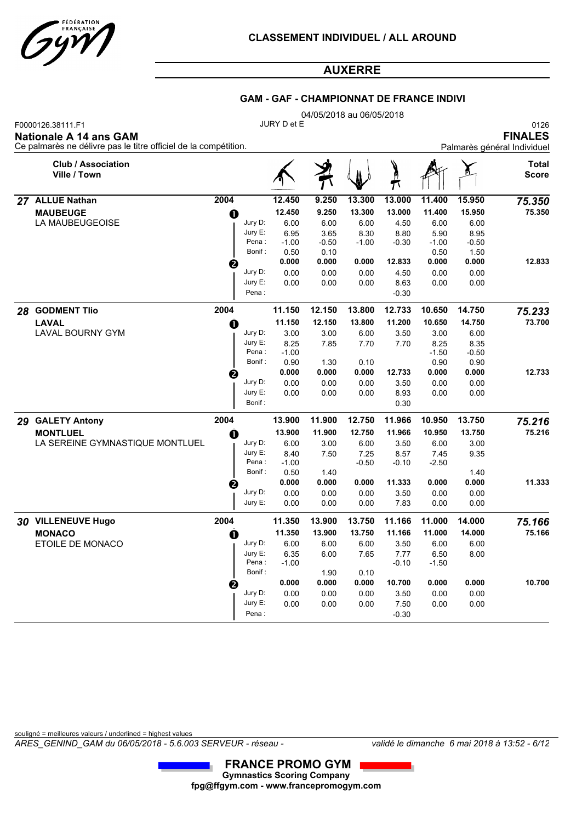

### **GAM - GAF - CHAMPIONNAT DE FRANCE INDIVI**

|    | F0000126.38111.F1                                                                         |          |                  | JURY D et E     | 04/05/2018 au 06/05/2018 |                 |                 |                 |                 | 0126                                          |
|----|-------------------------------------------------------------------------------------------|----------|------------------|-----------------|--------------------------|-----------------|-----------------|-----------------|-----------------|-----------------------------------------------|
|    | Nationale A 14 ans GAM<br>Ce palmarès ne délivre pas le titre officiel de la compétition. |          |                  |                 |                          |                 |                 |                 |                 | <b>FINALES</b><br>Palmarès général Individuel |
|    | <b>Club / Association</b><br>Ville / Town                                                 |          |                  |                 |                          |                 |                 |                 |                 | Total<br><b>Score</b>                         |
| 27 | <b>ALLUE Nathan</b>                                                                       | 2004     |                  | 12.450          | 9.250                    | 13.300          | 13.000          | 11.400          | 15.950          | 75.350                                        |
|    | <b>MAUBEUGE</b>                                                                           | O        |                  | 12.450          | 9.250                    | 13.300          | 13.000          | 11.400          | 15.950          | 75.350                                        |
|    | LA MAUBEUGEOISE                                                                           |          | Jury D:          | 6.00            | 6.00                     | 6.00            | 4.50            | 6.00            | 6.00            |                                               |
|    |                                                                                           |          | Jury E:<br>Pena: | 6.95<br>$-1.00$ | 3.65<br>$-0.50$          | 8.30<br>$-1.00$ | 8.80<br>$-0.30$ | 5.90<br>$-1.00$ | 8.95<br>$-0.50$ |                                               |
|    |                                                                                           |          | Bonif:           | 0.50            | 0.10                     |                 |                 | 0.50            | 1.50            |                                               |
|    |                                                                                           | 0        |                  | 0.000           | 0.000                    | 0.000           | 12.833          | 0.000           | 0.000           | 12.833                                        |
|    |                                                                                           |          | Jury D:          | 0.00            | 0.00                     | 0.00            | 4.50            | 0.00            | 0.00            |                                               |
|    |                                                                                           |          | Jury E:          | 0.00            | 0.00                     | 0.00            | 8.63            | 0.00            | 0.00            |                                               |
|    |                                                                                           |          | Pena:            |                 |                          |                 | $-0.30$         |                 |                 |                                               |
| 28 | <b>GODMENT Tlio</b>                                                                       | 2004     |                  | 11.150          | 12.150                   | 13.800          | 12.733          | 10.650          | 14.750          | 75.233                                        |
|    | <b>LAVAL</b>                                                                              | O        |                  | 11.150          | 12.150                   | 13.800          | 11.200          | 10.650          | 14.750          | 73.700                                        |
|    | <b>LAVAL BOURNY GYM</b>                                                                   |          | Jury D:          | 3.00            | 3.00                     | 6.00            | 3.50            | 3.00            | 6.00            |                                               |
|    |                                                                                           |          | Jury E:          | 8.25            | 7.85                     | 7.70            | 7.70            | 8.25            | 8.35            |                                               |
|    |                                                                                           |          | Pena:<br>Bonif:  | $-1.00$<br>0.90 | 1.30                     | 0.10            |                 | $-1.50$<br>0.90 | $-0.50$<br>0.90 |                                               |
|    |                                                                                           | ❷        |                  | 0.000           | 0.000                    | 0.000           | 12.733          | 0.000           | 0.000           | 12.733                                        |
|    |                                                                                           |          | Jury D:          | 0.00            | 0.00                     | 0.00            | 3.50            | 0.00            | 0.00            |                                               |
|    |                                                                                           |          | Jury E:          | 0.00            | 0.00                     | 0.00            | 8.93            | 0.00            | 0.00            |                                               |
|    |                                                                                           |          | Bonif:           |                 |                          |                 | 0.30            |                 |                 |                                               |
| 29 | <b>GALETY Antony</b>                                                                      | 2004     |                  | 13.900          | 11.900                   | 12.750          | 11.966          | 10.950          | 13.750          | 75.216                                        |
|    | <b>MONTLUEL</b>                                                                           | O        |                  | 13.900          | 11.900                   | 12.750          | 11.966          | 10.950          | 13.750          | 75.216                                        |
|    | LA SEREINE GYMNASTIQUE MONTLUEL                                                           |          | Jury D:          | 6.00            | 3.00                     | 6.00            | 3.50            | 6.00            | 3.00            |                                               |
|    |                                                                                           |          | Jury E:<br>Pena: | 8.40<br>$-1.00$ | 7.50                     | 7.25<br>$-0.50$ | 8.57<br>$-0.10$ | 7.45<br>$-2.50$ | 9.35            |                                               |
|    |                                                                                           |          | Bonif:           | 0.50            | 1.40                     |                 |                 |                 | 1.40            |                                               |
|    |                                                                                           | 0        |                  | 0.000           | 0.000                    | 0.000           | 11.333          | 0.000           | 0.000           | 11.333                                        |
|    |                                                                                           |          | Jury D:          | 0.00            | 0.00                     | 0.00            | 3.50            | 0.00            | 0.00            |                                               |
|    |                                                                                           |          | Jury E:          | 0.00            | 0.00                     | 0.00            | 7.83            | 0.00            | 0.00            |                                               |
|    | 30 VILLENEUVE Hugo                                                                        | 2004     |                  | 11.350          | 13.900                   | 13.750          | 11.166          | 11.000          | 14.000          | 75.166                                        |
|    | <b>MONACO</b>                                                                             | $\bf{0}$ |                  | 11.350          | 13.900                   | 13.750          | 11.166          | 11.000          | 14.000          | 75.166                                        |
|    | ETOILE DE MONACO                                                                          |          | Jury D:          | 6.00            | 6.00                     | 6.00            | 3.50            | 6.00            | 6.00            |                                               |
|    |                                                                                           |          | Jury E:<br>Pena: | 6.35            | 6.00                     | 7.65            | 7.77            | 6.50            | 8.00            |                                               |
|    |                                                                                           |          | Bonif:           | $-1.00$         | 1.90                     | 0.10            | $-0.10$         | $-1.50$         |                 |                                               |
|    |                                                                                           |          |                  | 0.000           | 0.000                    | 0.000           | 10.700          | 0.000           | 0.000           | 10.700                                        |
|    |                                                                                           |          | Jury D:          | 0.00            | 0.00                     | 0.00            | 3.50            | 0.00            | 0.00            |                                               |
|    |                                                                                           |          | Jury E:          | 0.00            | 0.00                     | 0.00            | 7.50            | 0.00            | 0.00            |                                               |
|    |                                                                                           |          | Pena:            |                 |                          |                 | $-0.30$         |                 |                 |                                               |

souligné = meilleures valeurs / underlined = highest values

*ARES\_GENIND\_GAM du 06/05/2018 - 5.6.003 SERVEUR - réseau - validé le dimanche 6 mai 2018 à 13:52 - 6/12*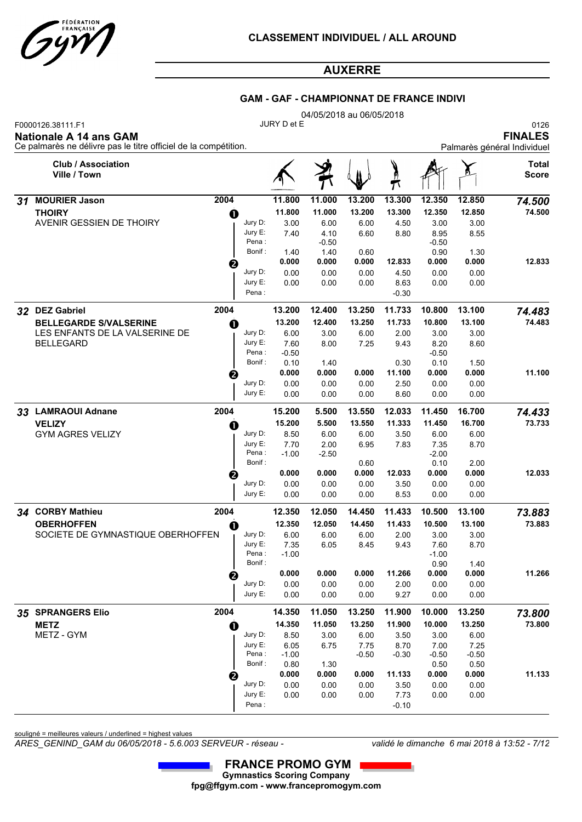

#### **GAM - GAF - CHAMPIONNAT DE FRANCE INDIVI**

|    |                                                                                                                       |                       |                 |                 | 04/05/2018 au 06/05/2018 |                 |                 |              |                                                       |
|----|-----------------------------------------------------------------------------------------------------------------------|-----------------------|-----------------|-----------------|--------------------------|-----------------|-----------------|--------------|-------------------------------------------------------|
|    | F0000126.38111.F1<br><b>Nationale A 14 ans GAM</b><br>Ce palmarès ne délivre pas le titre officiel de la compétition. |                       | JURY D et E     |                 |                          |                 |                 |              | 0126<br><b>FINALES</b><br>Palmarès général Individuel |
|    | <b>Club / Association</b><br>Ville / Town                                                                             |                       |                 |                 |                          | π               |                 |              | Total<br><b>Score</b>                                 |
| 31 | <b>MOURIER Jason</b><br>2004                                                                                          |                       | 11.800          | 11.000          | 13.200                   | 13.300          | 12.350          | 12.850       | 74.500                                                |
|    | <b>THOIRY</b>                                                                                                         | O                     | 11.800          | 11.000          | 13.200                   | 13.300          | 12.350          | 12.850       | 74.500                                                |
|    | AVENIR GESSIEN DE THOIRY                                                                                              | Jury D:               | 3.00            | 6.00            | 6.00                     | 4.50            | 3.00            | 3.00         |                                                       |
|    |                                                                                                                       | Jury E:<br>Pena:      | 7.40            | 4.10<br>$-0.50$ | 6.60                     | 8.80            | 8.95<br>$-0.50$ | 8.55         |                                                       |
|    |                                                                                                                       | Bonif :               | 1.40            | 1.40            | 0.60                     |                 | 0.90            | 1.30         |                                                       |
|    |                                                                                                                       | ❷                     | 0.000           | 0.000           | 0.000                    | 12.833          | 0.000           | 0.000        | 12.833                                                |
|    |                                                                                                                       | Jury D:               | 0.00            | 0.00            | 0.00                     | 4.50            | 0.00            | 0.00         |                                                       |
|    |                                                                                                                       | Jury E:               | 0.00            | 0.00            | 0.00                     | 8.63            | 0.00            | 0.00         |                                                       |
|    |                                                                                                                       | Pena:                 |                 |                 |                          | $-0.30$         |                 |              |                                                       |
|    | 32 DEZ Gabriel<br>2004                                                                                                |                       | 13.200          | 12.400          | 13.250                   | 11.733          | 10.800          | 13.100       | 74.483                                                |
|    | <b>BELLEGARDE S/VALSERINE</b>                                                                                         | O                     | 13.200          | 12.400          | 13.250                   | 11.733          | 10.800          | 13.100       | 74.483                                                |
|    | LES ENFANTS DE LA VALSERINE DE                                                                                        | Jury D:               | 6.00            | 3.00            | 6.00                     | 2.00            | 3.00            | 3.00         |                                                       |
|    | <b>BELLEGARD</b>                                                                                                      | Jury E:<br>Pena :     | 7.60<br>$-0.50$ | 8.00            | 7.25                     | 9.43            | 8.20<br>$-0.50$ | 8.60         |                                                       |
|    |                                                                                                                       | Bonif:                | 0.10            | 1.40            |                          | 0.30            | 0.10            | 1.50         |                                                       |
|    |                                                                                                                       | ℯ                     | 0.000           | 0.000           | 0.000                    | 11.100          | 0.000           | 0.000        | 11.100                                                |
|    |                                                                                                                       | Jury D:               | 0.00            | 0.00            | 0.00                     | 2.50            | 0.00            | 0.00         |                                                       |
|    |                                                                                                                       | Jury E:               | 0.00            | 0.00            | 0.00                     | 8.60            | 0.00            | 0.00         |                                                       |
|    | 2004<br>33 LAMRAOUI Adnane                                                                                            |                       | 15.200          | 5.500           | 13.550                   | 12.033          | 11.450          | 16.700       | 74.433                                                |
|    | <b>VELIZY</b>                                                                                                         | O                     | 15.200          | 5.500           | 13.550                   | 11.333          | 11.450          | 16.700       | 73.733                                                |
|    | <b>GYM AGRES VELIZY</b>                                                                                               | Jury D:               | 8.50            | 6.00            | 6.00                     | 3.50            | 6.00            | 6.00         |                                                       |
|    |                                                                                                                       | Jury E:<br>Pena:      | 7.70<br>$-1.00$ | 2.00<br>$-2.50$ | 6.95                     | 7.83            | 7.35<br>$-2.00$ | 8.70         |                                                       |
|    |                                                                                                                       | Bonif:                |                 |                 | 0.60                     |                 | 0.10            | 2.00         |                                                       |
|    |                                                                                                                       | 0                     | 0.000           | 0.000           | 0.000                    | 12.033          | 0.000           | 0.000        | 12.033                                                |
|    |                                                                                                                       | Jury D:               | 0.00            | 0.00            | 0.00                     | 3.50            | 0.00            | 0.00         |                                                       |
|    |                                                                                                                       | Jury E:               | 0.00            | 0.00            | 0.00                     | 8.53            | 0.00            | 0.00         |                                                       |
|    | 34 CORBY Mathieu<br>2004                                                                                              |                       | 12.350          | 12.050          | 14.450                   | 11.433          | 10.500          | 13.100       | 73.883                                                |
|    | <b>OBERHOFFEN</b>                                                                                                     | O                     | 12.350          | 12.050          | 14.450                   | 11.433          | 10.500          | 13.100       | 73.883                                                |
|    | SOCIETE DE GYMNASTIQUE OBERHOFFEN                                                                                     | Jury D:<br>Jury $E$ : | 6.00<br>7.35    | 6.00<br>6.05    | 6.00<br>8.45             | 2.00<br>9.43    | 3.00<br>7.60    | 3.00<br>8.70 |                                                       |
|    |                                                                                                                       | Pena:                 | $-1.00$         |                 |                          |                 | $-1.00$         |              |                                                       |
|    |                                                                                                                       | Bonif:                |                 |                 |                          |                 | 0.90            | 1.40         |                                                       |
|    |                                                                                                                       | 2                     | 0.000           | 0.000           | 0.000                    | 11.266          | 0.000           | 0.000        | 11.266                                                |
|    |                                                                                                                       | Jury D:<br>Jury E:    | 0.00            | 0.00            | 0.00                     | 2.00            | 0.00            | 0.00         |                                                       |
|    |                                                                                                                       |                       | 0.00            | 0.00            | 0.00                     | 9.27            | 0.00            | 0.00         |                                                       |
|    | 35 SPRANGERS Elio<br>2004                                                                                             |                       | 14.350          | 11.050          | 13.250                   | 11.900          | 10.000          | 13.250       | 73.800                                                |
|    | <b>METZ</b>                                                                                                           | o                     | 14.350          | 11.050          | 13.250                   | 11.900          | 10.000          | 13.250       | 73.800                                                |
|    | METZ - GYM                                                                                                            | Jury D:<br>Jury E:    | 8.50<br>6.05    | 3.00<br>6.75    | 6.00<br>7.75             | 3.50<br>8.70    | 3.00<br>7.00    | 6.00<br>7.25 |                                                       |
|    |                                                                                                                       | Pena :                | $-1.00$         |                 | $-0.50$                  | $-0.30$         | $-0.50$         | $-0.50$      |                                                       |
|    |                                                                                                                       | Bonif :               | 0.80            | 1.30            |                          |                 | 0.50            | 0.50         |                                                       |
|    |                                                                                                                       |                       | 0.000           | 0.000           | 0.000                    | 11.133          | 0.000           | 0.000        | 11.133                                                |
|    |                                                                                                                       | Jury D:<br>Jury E:    | 0.00            | 0.00            | 0.00                     | 3.50            | 0.00            | 0.00         |                                                       |
|    |                                                                                                                       | Pena:                 | 0.00            | 0.00            | 0.00                     | 7.73<br>$-0.10$ | 0.00            | 0.00         |                                                       |
|    |                                                                                                                       |                       |                 |                 |                          |                 |                 |              |                                                       |

souligné = meilleures valeurs / underlined = highest values

*ARES\_GENIND\_GAM du 06/05/2018 - 5.6.003 SERVEUR - réseau - validé le dimanche 6 mai 2018 à 13:52 - 7/12*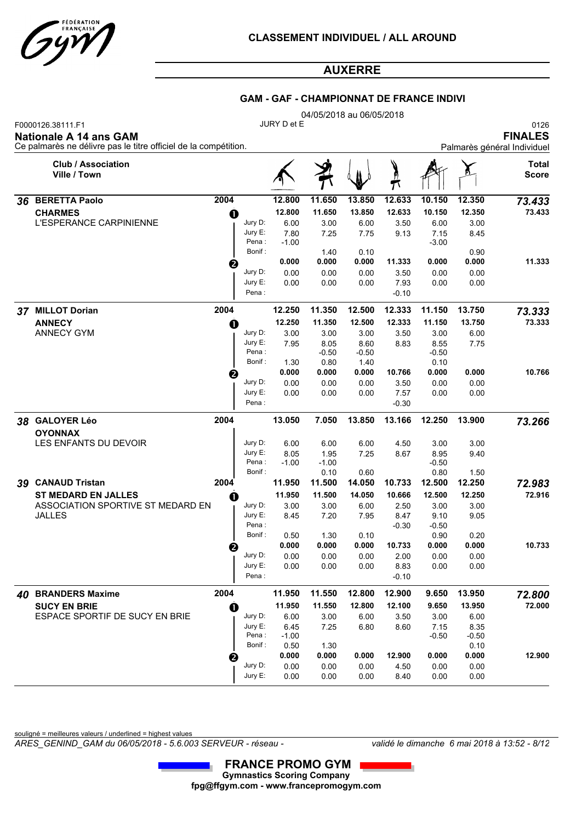

#### **GAM - GAF - CHAMPIONNAT DE FRANCE INDIVI**

|                                                                                                                                                                  |      |                   |                 |                 | 04/05/2018 au 06/05/2018 |                 |                 |               |                                                       |
|------------------------------------------------------------------------------------------------------------------------------------------------------------------|------|-------------------|-----------------|-----------------|--------------------------|-----------------|-----------------|---------------|-------------------------------------------------------|
| F0000126.38111.F1<br><b>Nationale A 14 ans GAM</b><br>Ce palmarès ne délivre pas le titre officiel de la compétition.                                            |      |                   | JURY D et E     |                 |                          |                 |                 |               | 0126<br><b>FINALES</b><br>Palmarès général Individuel |
| <b>Club / Association</b><br>Ville / Town                                                                                                                        |      |                   |                 |                 |                          | )<br>!          |                 |               | Total<br><b>Score</b>                                 |
| 2004<br>36 BERETTA Paolo<br><b>CHARMES</b><br>O<br>L'ESPERANCE CARPINIENNE<br>❷<br>37 MILLOT Dorian<br>2004<br><b>ANNECY</b><br>$\mathbf 0$<br><b>ANNECY GYM</b> |      | 12.800            | 11.650          | 13.850          | 12.633                   | 10.150          | 12.350          | 73.433        |                                                       |
|                                                                                                                                                                  |      |                   | 12.800          | 11.650          | 13.850                   | 12.633          | 10.150          | 12.350        | 73.433                                                |
|                                                                                                                                                                  |      | Jury D:           | 6.00            | 3.00            | 6.00                     | 3.50            | 6.00            | 3.00          |                                                       |
|                                                                                                                                                                  |      | Jury E:           | 7.80            | 7.25            | 7.75                     | 9.13            | 7.15            | 8.45          |                                                       |
|                                                                                                                                                                  |      | Pena:             | $-1.00$         |                 |                          |                 | $-3.00$         |               |                                                       |
|                                                                                                                                                                  |      | Bonif:            | 0.000           | 1.40<br>0.000   | 0.10<br>0.000            | 11.333          | 0.000           | 0.90<br>0.000 | 11.333                                                |
|                                                                                                                                                                  |      | Jury D:           | 0.00            | 0.00            | 0.00                     | 3.50            | 0.00            | 0.00          |                                                       |
|                                                                                                                                                                  |      | Jury E:           | 0.00            | 0.00            | 0.00                     | 7.93            | 0.00            | 0.00          |                                                       |
|                                                                                                                                                                  |      | Pena:             |                 |                 |                          | $-0.10$         |                 |               |                                                       |
|                                                                                                                                                                  |      |                   | 12.250          | 11.350          | 12.500                   | 12.333          | 11.150          | 13.750        | 73.333                                                |
|                                                                                                                                                                  |      |                   | 12.250          | 11.350          | 12.500                   | 12.333          | 11.150          | 13.750        | 73.333                                                |
|                                                                                                                                                                  |      | Jury D:           | 3.00            | 3.00            | 3.00                     | 3.50            | 3.00            | 6.00          |                                                       |
|                                                                                                                                                                  |      | Jury E:           | 7.95            | 8.05            | 8.60                     | 8.83            | 8.55            | 7.75          |                                                       |
|                                                                                                                                                                  |      | Pena:             |                 | $-0.50$         | $-0.50$                  |                 | $-0.50$         |               |                                                       |
|                                                                                                                                                                  |      | Bonif:            | 1.30            | 0.80            | 1.40                     |                 | 0.10            |               |                                                       |
|                                                                                                                                                                  | ❷    |                   | 0.000           | 0.000           | 0.000                    | 10.766          | 0.000           | 0.000         | 10.766                                                |
|                                                                                                                                                                  |      | Jury D:           | 0.00            | 0.00            | 0.00                     | 3.50            | 0.00            | 0.00          |                                                       |
|                                                                                                                                                                  |      | Jury E:<br>Pena : | 0.00            | 0.00            | 0.00                     | 7.57<br>$-0.30$ | 0.00            | 0.00          |                                                       |
|                                                                                                                                                                  |      |                   |                 |                 |                          |                 |                 |               |                                                       |
| 38 GALOYER Léo                                                                                                                                                   | 2004 |                   | 13.050          | 7.050           | 13.850                   | 13.166          | 12.250          | 13.900        | 73.266                                                |
| <b>OYONNAX</b>                                                                                                                                                   |      |                   |                 |                 |                          |                 |                 |               |                                                       |
| LES ENFANTS DU DEVOIR                                                                                                                                            |      | Jury D:           | 6.00            | 6.00            | 6.00                     | 4.50            | 3.00            | 3.00          |                                                       |
|                                                                                                                                                                  |      | Jury E:<br>Pena:  | 8.05<br>$-1.00$ | 1.95<br>$-1.00$ | 7.25                     | 8.67            | 8.95<br>$-0.50$ | 9.40          |                                                       |
|                                                                                                                                                                  |      | Bonif:            |                 | 0.10            | 0.60                     |                 | 0.80            | 1.50          |                                                       |
| 39 CANAUD Tristan                                                                                                                                                | 2004 |                   | 11.950          | 11.500          | 14.050                   | 10.733          | 12.500          | 12.250        | 72.983                                                |
| <b>ST MEDARD EN JALLES</b>                                                                                                                                       | O    |                   | 11.950          | 11.500          | 14.050                   | 10.666          | 12.500          | 12.250        | 72.916                                                |
| ASSOCIATION SPORTIVE ST MEDARD EN                                                                                                                                |      | Jury D:           | 3.00            | 3.00            | 6.00                     | 2.50            | 3.00            | 3.00          |                                                       |
| <b>JALLES</b>                                                                                                                                                    |      | Jury E:           | 8.45            | 7.20            | 7.95                     | 8.47            | 9.10            | 9.05          |                                                       |
|                                                                                                                                                                  |      | Pena:<br>Bonif:   | 0.50            | 1.30            | 0.10                     | $-0.30$         | $-0.50$<br>0.90 | 0.20          |                                                       |
|                                                                                                                                                                  |      |                   | 0.000           | 0.000           | 0.000                    | 10.733          | 0.000           | 0.000         | 10.733                                                |
|                                                                                                                                                                  | Ø    | Jury D:           | 0.00            | 0.00            | 0.00                     | 2.00            | 0.00            | 0.00          |                                                       |
|                                                                                                                                                                  |      | Jury E:           | 0.00            | 0.00            | 0.00                     | 8.83            | 0.00            | 0.00          |                                                       |
|                                                                                                                                                                  |      | Pena :            |                 |                 |                          | $-0.10$         |                 |               |                                                       |
| 40 BRANDERS Maxime                                                                                                                                               | 2004 |                   | 11.950          | 11.550          | 12.800                   | 12.900          | 9.650           | 13.950        | 72.800                                                |
| <b>SUCY EN BRIE</b>                                                                                                                                              | 0    |                   | 11.950          | 11.550          | 12.800                   | 12.100          | 9.650           | 13.950        | 72.000                                                |
| ESPACE SPORTIF DE SUCY EN BRIE                                                                                                                                   |      | Jury D:           | 6.00            | 3.00            | 6.00                     | 3.50            | 3.00            | 6.00          |                                                       |
|                                                                                                                                                                  |      | Jury E:           | 6.45            | 7.25            | 6.80                     | 8.60            | 7.15            | 8.35          |                                                       |
|                                                                                                                                                                  |      | Pena :            | $-1.00$         |                 |                          |                 | $-0.50$         | $-0.50$       |                                                       |
|                                                                                                                                                                  |      | Bonif:            | 0.50<br>0.000   | 1.30<br>0.000   | 0.000                    | 12.900          | 0.000           | 0.10<br>0.000 | 12.900                                                |
|                                                                                                                                                                  | ❷    | Jury D:           | 0.00            | 0.00            | 0.00                     | 4.50            | 0.00            | 0.00          |                                                       |
|                                                                                                                                                                  |      | Jury E:           | 0.00            | 0.00            | 0.00                     | 8.40            | 0.00            | 0.00          |                                                       |

souligné = meilleures valeurs / underlined = highest values

*ARES\_GENIND\_GAM du 06/05/2018 - 5.6.003 SERVEUR - réseau - validé le dimanche 6 mai 2018 à 13:52 - 8/12*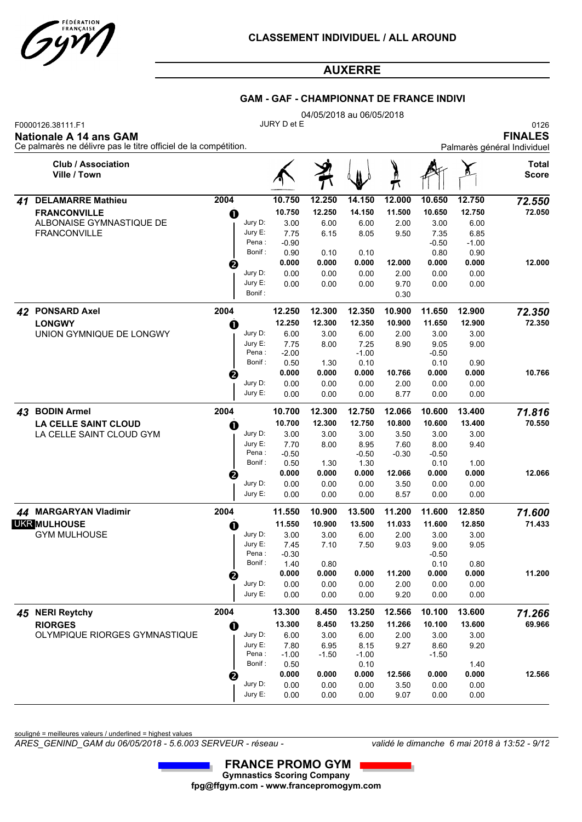

#### **GAM - GAF - CHAMPIONNAT DE FRANCE INDIVI**

|    | F0000126.38111.F1<br><b>Nationale A 14 ans GAM</b><br>Ce palmarès ne délivre pas le titre officiel de la compétition. |      |                   | JURY D et E     |               |                 |         |                 |               | 0126<br><b>FINALES</b><br>Palmarès général Individuel |
|----|-----------------------------------------------------------------------------------------------------------------------|------|-------------------|-----------------|---------------|-----------------|---------|-----------------|---------------|-------------------------------------------------------|
|    | <b>Club / Association</b><br>Ville / Town                                                                             |      |                   |                 |               |                 | Ø<br>π  |                 |               | Total<br><b>Score</b>                                 |
| 41 | <b>DELAMARRE Mathieu</b>                                                                                              | 2004 |                   | 10.750          | 12.250        | 14.150          | 12.000  | 10.650          | 12.750        | 72.550                                                |
|    | <b>FRANCONVILLE</b>                                                                                                   | O    |                   | 10.750          | 12.250        | 14.150          | 11.500  | 10.650          | 12.750        | 72.050                                                |
|    | ALBONAISE GYMNASTIQUE DE                                                                                              |      | Jury D:           | 3.00            | 6.00          | 6.00            | 2.00    | 3.00            | 6.00          |                                                       |
|    | <b>FRANCONVILLE</b>                                                                                                   |      | Jury E:           | 7.75            | 6.15          | 8.05            | 9.50    | 7.35            | 6.85          |                                                       |
|    |                                                                                                                       |      | Pena:             | $-0.90$         |               |                 |         | $-0.50$         | $-1.00$       |                                                       |
|    |                                                                                                                       |      | Bonif:            | 0.90<br>0.000   | 0.10<br>0.000 | 0.10<br>0.000   | 12.000  | 0.80<br>0.000   | 0.90<br>0.000 | 12.000                                                |
|    |                                                                                                                       | ❷    | Jury D:           | 0.00            | 0.00          | 0.00            | 2.00    | 0.00            | 0.00          |                                                       |
|    |                                                                                                                       |      | Jury E:           | 0.00            | 0.00          | 0.00            | 9.70    | 0.00            | 0.00          |                                                       |
|    |                                                                                                                       |      | Bonif:            |                 |               |                 | 0.30    |                 |               |                                                       |
| 42 | <b>PONSARD Axel</b>                                                                                                   | 2004 |                   | 12.250          | 12.300        | 12.350          | 10.900  | 11.650          | 12.900        | 72.350                                                |
|    | <b>LONGWY</b>                                                                                                         | O    |                   | 12.250          | 12.300        | 12.350          | 10.900  | 11.650          | 12.900        | 72.350                                                |
|    | UNION GYMNIQUE DE LONGWY                                                                                              |      | Jury D:           | 6.00            | 3.00          | 6.00            | 2.00    | 3.00            | 3.00          |                                                       |
|    |                                                                                                                       |      | Jury E:           | 7.75            | 8.00          | 7.25            | 8.90    | 9.05            | 9.00          |                                                       |
|    |                                                                                                                       |      | Pena :<br>Bonif:  | $-2.00$<br>0.50 | 1.30          | $-1.00$<br>0.10 |         | $-0.50$<br>0.10 | 0.90          |                                                       |
|    |                                                                                                                       | ❷    |                   | 0.000           | 0.000         | 0.000           | 10.766  | 0.000           | 0.000         | 10.766                                                |
|    |                                                                                                                       |      | Jury D:           | 0.00            | 0.00          | 0.00            | 2.00    | 0.00            | 0.00          |                                                       |
|    |                                                                                                                       |      | Jury E:           | 0.00            | 0.00          | 0.00            | 8.77    | 0.00            | 0.00          |                                                       |
| 43 | <b>BODIN Armel</b>                                                                                                    | 2004 |                   | 10.700          | 12.300        | 12.750          | 12.066  | 10.600          | 13.400        | 71.816                                                |
|    | <b>LA CELLE SAINT CLOUD</b>                                                                                           | O    |                   | 10.700          | 12.300        | 12.750          | 10.800  | 10.600          | 13.400        | 70.550                                                |
|    | LA CELLE SAINT CLOUD GYM                                                                                              |      | Jury D:           | 3.00            | 3.00          | 3.00            | 3.50    | 3.00            | 3.00          |                                                       |
|    |                                                                                                                       |      | Jury E:           | 7.70            | 8.00          | 8.95            | 7.60    | 8.00            | 9.40          |                                                       |
|    |                                                                                                                       |      | Pena:<br>Bonif:   | $-0.50$<br>0.50 | 1.30          | $-0.50$<br>1.30 | $-0.30$ | $-0.50$<br>0.10 | 1.00          |                                                       |
|    |                                                                                                                       | ❷    |                   | 0.000           | 0.000         | 0.000           | 12.066  | 0.000           | 0.000         | 12.066                                                |
|    |                                                                                                                       |      | Jury D:           | 0.00            | 0.00          | 0.00            | 3.50    | 0.00            | 0.00          |                                                       |
|    |                                                                                                                       |      | Jury E:           | 0.00            | 0.00          | 0.00            | 8.57    | 0.00            | 0.00          |                                                       |
|    | 44 MARGARYAN Vladimir                                                                                                 | 2004 |                   | 11.550          | 10.900        | 13.500          | 11.200  | 11.600          | 12.850        | 71.600                                                |
|    | <b>UKR MULHOUSE</b>                                                                                                   | 0    |                   | 11.550          | 10.900        | 13.500          | 11.033  | 11.600          | 12.850        | 71.433                                                |
|    | <b>GYM MULHOUSE</b>                                                                                                   |      | Jury D:           | 3.00            | 3.00          | 6.00            | 2.00    | 3.00            | 3.00          |                                                       |
|    |                                                                                                                       |      | Jury E:           | 7.45            | 7.10          | 7.50            | 9.03    | 9.00            | 9.05          |                                                       |
|    |                                                                                                                       |      | Pena:<br>Bonif :  | $-0.30$<br>1.40 | 0.80          |                 |         | $-0.50$<br>0.10 | 0.80          |                                                       |
|    |                                                                                                                       |      |                   | 0.000           | 0.000         | 0.000           | 11.200  | 0.000           | 0.000         | 11.200                                                |
|    |                                                                                                                       | ❷    | Jury D:           | 0.00            | 0.00          | 0.00            | 2.00    | 0.00            | 0.00          |                                                       |
|    |                                                                                                                       |      | Jury E:           | 0.00            | 0.00          | 0.00            | 9.20    | 0.00            | 0.00          |                                                       |
|    | 45 NERI Reytchy                                                                                                       | 2004 |                   | 13.300          | 8.450         | 13.250          | 12.566  | 10.100          | 13.600        | 71.266                                                |
|    | <b>RIORGES</b>                                                                                                        | O    |                   | 13.300          | 8.450         | 13.250          | 11.266  | 10.100          | 13.600        | 69.966                                                |
|    | OLYMPIQUE RIORGES GYMNASTIQUE                                                                                         |      | Jury D:           | 6.00            | 3.00          | 6.00            | 2.00    | 3.00            | 3.00          |                                                       |
|    |                                                                                                                       |      | Jury E:           | 7.80            | 6.95          | 8.15            | 9.27    | 8.60            | 9.20          |                                                       |
|    |                                                                                                                       |      | Pena :<br>Bonif : | $-1.00$         | $-1.50$       | $-1.00$         |         | $-1.50$         |               |                                                       |
|    |                                                                                                                       |      |                   | 0.50<br>0.000   | 0.000         | 0.10<br>0.000   | 12.566  | 0.000           | 1.40<br>0.000 | 12.566                                                |
|    |                                                                                                                       | 2    | Jury D:           | 0.00            | 0.00          | 0.00            | 3.50    | 0.00            | 0.00          |                                                       |
|    |                                                                                                                       |      | Jury E:           | 0.00            | 0.00          | 0.00            | 9.07    | 0.00            | 0.00          |                                                       |

souligné = meilleures valeurs / underlined = highest values

*ARES\_GENIND\_GAM du 06/05/2018 - 5.6.003 SERVEUR - réseau - validé le dimanche 6 mai 2018 à 13:52 - 9/12*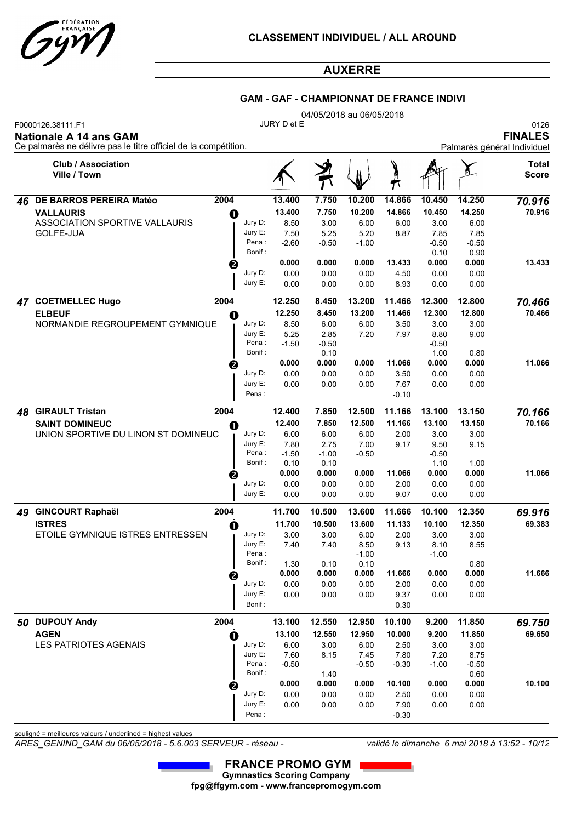

#### **GAM - GAF - CHAMPIONNAT DE FRANCE INDIVI**

|    |                                                                                                                       |                    |                  |                  | 04/05/2018 au 06/05/2018 |                  |                  |                  |                                                       |
|----|-----------------------------------------------------------------------------------------------------------------------|--------------------|------------------|------------------|--------------------------|------------------|------------------|------------------|-------------------------------------------------------|
|    | F0000126.38111.F1<br><b>Nationale A 14 ans GAM</b><br>Ce palmarès ne délivre pas le titre officiel de la compétition. |                    | JURY D et E      |                  |                          |                  |                  |                  | 0126<br><b>FINALES</b><br>Palmarès général Individuel |
|    | <b>Club / Association</b><br>Ville / Town                                                                             |                    |                  |                  |                          |                  |                  |                  | <b>Total</b><br><b>Score</b>                          |
| 46 | 2004<br>DE BARROS PEREIRA Matéo                                                                                       |                    | 13.400           | 7.750            | 10.200                   | 14.866           | 10.450           | 14.250           | 70.916                                                |
|    | <b>VALLAURIS</b><br>O                                                                                                 |                    | 13.400           | 7.750            | 10.200                   | 14.866           | 10.450           | 14.250           | 70.916                                                |
|    | ASSOCIATION SPORTIVE VALLAURIS                                                                                        | Jury D:            | 8.50             | 3.00             | 6.00                     | 6.00             | 3.00             | 6.00             |                                                       |
|    | GOLFE-JUA                                                                                                             | Jury E:            | 7.50             | 5.25             | 5.20                     | 8.87             | 7.85             | 7.85             |                                                       |
|    |                                                                                                                       | Pena:              | $-2.60$          | $-0.50$          | $-1.00$                  |                  | $-0.50$          | $-0.50$          |                                                       |
|    |                                                                                                                       | Bonif:             |                  |                  |                          |                  | 0.10             | 0.90             |                                                       |
|    | ❷                                                                                                                     |                    | 0.000            | 0.000            | 0.000                    | 13.433           | 0.000            | 0.000            | 13.433                                                |
|    |                                                                                                                       | Jury D:<br>Jury E: | 0.00             | 0.00             | 0.00                     | 4.50             | 0.00<br>0.00     | 0.00             |                                                       |
|    |                                                                                                                       |                    | 0.00             | 0.00             | 0.00                     | 8.93             |                  | 0.00             |                                                       |
|    | 2004<br>47 COETMELLEC Hugo<br><b>ELBEUF</b>                                                                           |                    | 12.250<br>12.250 | 8.450<br>8.450   | 13.200<br>13.200         | 11.466<br>11.466 | 12.300<br>12.300 | 12.800<br>12.800 | 70.466<br>70.466                                      |
|    | O<br>NORMANDIE REGROUPEMENT GYMNIQUE                                                                                  | Jury D:            | 8.50             | 6.00             | 6.00                     | 3.50             | 3.00             | 3.00             |                                                       |
|    |                                                                                                                       | Jury E:            | 5.25             | 2.85             | 7.20                     | 7.97             | 8.80             | 9.00             |                                                       |
|    |                                                                                                                       | Pena:              | $-1.50$          | $-0.50$          |                          |                  | $-0.50$          |                  |                                                       |
|    |                                                                                                                       | Bonif:             |                  | 0.10             |                          |                  | 1.00             | 0.80             |                                                       |
|    | ❷                                                                                                                     |                    | 0.000            | 0.000            | 0.000                    | 11.066           | 0.000            | 0.000            | 11.066                                                |
|    |                                                                                                                       | Jury D:            | 0.00             | 0.00             | 0.00                     | 3.50             | 0.00             | 0.00             |                                                       |
|    |                                                                                                                       | Jury E:<br>Pena:   | 0.00             | 0.00             | 0.00                     | 7.67<br>$-0.10$  | 0.00             | 0.00             |                                                       |
| 48 | <b>GIRAULT Tristan</b><br>2004                                                                                        |                    | 12.400           | 7.850            | 12.500                   | 11.166           | 13.100           | 13.150           | 70.166                                                |
|    | <b>SAINT DOMINEUC</b><br>O                                                                                            |                    | 12.400           | 7.850            | 12.500                   | 11.166           | 13.100           | 13.150           | 70.166                                                |
|    | UNION SPORTIVE DU LINON ST DOMINEUC                                                                                   | Jury D:            | 6.00             | 6.00             | 6.00                     | 2.00             | 3.00             | 3.00             |                                                       |
|    |                                                                                                                       | Jury E:            | 7.80             | 2.75             | 7.00                     | 9.17             | 9.50             | 9.15             |                                                       |
|    |                                                                                                                       | Pena:              | $-1.50$          | $-1.00$          | $-0.50$                  |                  | $-0.50$          |                  |                                                       |
|    |                                                                                                                       | Bonif:             | 0.10             | 0.10             |                          |                  | 1.10             | 1.00             |                                                       |
|    | ❷                                                                                                                     |                    | 0.000            | 0.000            | 0.000                    | 11.066           | 0.000            | 0.000            | 11.066                                                |
|    |                                                                                                                       | Jury D:<br>Jury E: | 0.00<br>0.00     | 0.00<br>0.00     | 0.00<br>0.00             | 2.00<br>9.07     | 0.00<br>0.00     | 0.00<br>0.00     |                                                       |
|    |                                                                                                                       |                    |                  |                  |                          |                  |                  |                  |                                                       |
|    | 49 GINCOURT Raphaël<br>2004<br><b>ISTRES</b>                                                                          |                    | 11.700<br>11.700 | 10.500<br>10.500 | 13.600<br>13.600         | 11.666<br>11.133 | 10.100<br>10.100 | 12.350<br>12.350 | 69.916<br>69.383                                      |
|    | O<br>ETOILE GYMNIQUE ISTRES ENTRESSEN                                                                                 | Jury D:            | 3.00             | 3.00             | 6.00                     | 2.00             | 3.00             | 3.00             |                                                       |
|    |                                                                                                                       | Jury E:            | 7.40             | 7.40             | 8.50                     | 9.13             | 8.10             | 8.55             |                                                       |
|    |                                                                                                                       | Pena:              |                  |                  | $-1.00$                  |                  | $-1.00$          |                  |                                                       |
|    |                                                                                                                       | Bonif:             | 1.30             | 0.10             | 0.10                     |                  |                  | 0.80             |                                                       |
|    | €                                                                                                                     |                    | 0.000            | 0.000            | 0.000                    | 11.666           | 0.000            | 0.000            | 11.666                                                |
|    |                                                                                                                       | Jury D:            | 0.00             | 0.00             | 0.00                     | 2.00             | 0.00             | 0.00             |                                                       |
|    |                                                                                                                       | Jury E:<br>Bonif:  | 0.00             | 0.00             | 0.00                     | 9.37<br>0.30     | 0.00             | 0.00             |                                                       |
|    | 2004<br>50 DUPOUY Andy                                                                                                |                    | 13.100           | 12.550           | 12.950                   | 10.100           | 9.200            | 11.850           | 69.750                                                |
|    | <b>AGEN</b>                                                                                                           |                    | 13.100           | 12.550           | 12.950                   | 10.000           | 9.200            | 11.850           | 69.650                                                |
|    | O<br><b>LES PATRIOTES AGENAIS</b>                                                                                     | Jury D:            | 6.00             | 3.00             | 6.00                     | 2.50             | 3.00             | 3.00             |                                                       |
|    |                                                                                                                       | Jury E:            | 7.60             | 8.15             | 7.45                     | 7.80             | 7.20             | 8.75             |                                                       |
|    |                                                                                                                       | Pena :             | $-0.50$          |                  | $-0.50$                  | $-0.30$          | $-1.00$          | $-0.50$          |                                                       |
|    |                                                                                                                       | Bonif:             |                  | 1.40             |                          |                  |                  | 0.60             |                                                       |
|    | 2                                                                                                                     |                    | 0.000            | 0.000            | 0.000                    | 10.100           | 0.000            | 0.000            | 10.100                                                |
|    |                                                                                                                       | Jury D:            | 0.00             | 0.00             | 0.00                     | 2.50             | 0.00             | 0.00             |                                                       |
|    |                                                                                                                       | Jury E:            | 0.00             | 0.00             | 0.00                     | 7.90             | 0.00             | 0.00             |                                                       |
|    |                                                                                                                       | Pena:              |                  |                  |                          | $-0.30$          |                  |                  |                                                       |

souligné = meilleures valeurs / underlined = highest values

*ARES\_GENIND\_GAM du 06/05/2018 - 5.6.003 SERVEUR - réseau - validé le dimanche 6 mai 2018 à 13:52 - 10/12*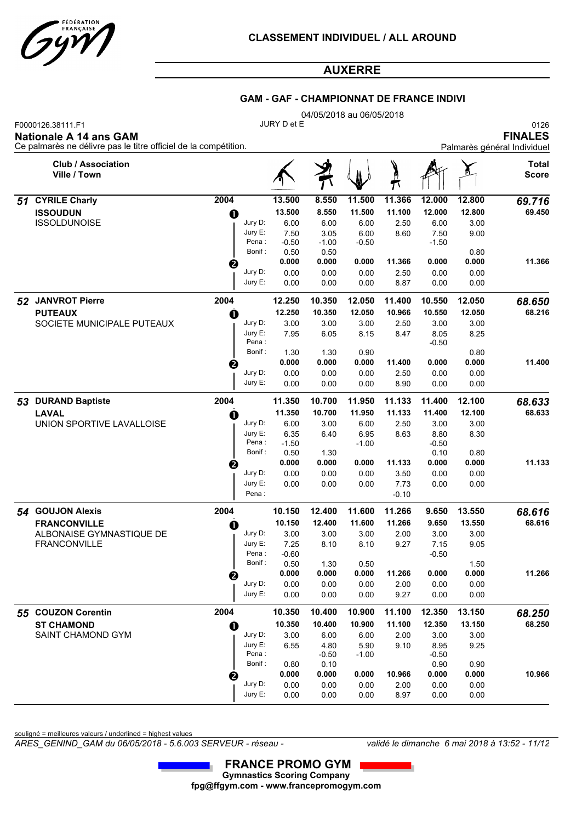

#### **GAM - GAF - CHAMPIONNAT DE FRANCE INDIVI**

|    |                                                                                                                       |                   | 04/05/2018 au 06/05/2018 |                 |         |         |                 |        |                                                       |  |  |  |  |  |
|----|-----------------------------------------------------------------------------------------------------------------------|-------------------|--------------------------|-----------------|---------|---------|-----------------|--------|-------------------------------------------------------|--|--|--|--|--|
|    | F0000126.38111.F1<br><b>Nationale A 14 ans GAM</b><br>Ce palmarès ne délivre pas le titre officiel de la compétition. |                   | JURY D et E              |                 |         |         |                 |        | 0126<br><b>FINALES</b><br>Palmarès général Individuel |  |  |  |  |  |
|    | <b>Club / Association</b><br>Ville / Town                                                                             |                   |                          |                 |         |         |                 |        | <b>Total</b><br><b>Score</b>                          |  |  |  |  |  |
| 51 | <b>CYRILE Charly</b>                                                                                                  | 2004              | 13.500                   | 8.550           | 11.500  | 11.366  | 12.000          | 12.800 | 69.716                                                |  |  |  |  |  |
|    | <b>ISSOUDUN</b>                                                                                                       | O                 | 13.500                   | 8.550           | 11.500  | 11.100  | 12.000          | 12.800 | 69.450                                                |  |  |  |  |  |
|    | <b>ISSOLDUNOISE</b>                                                                                                   | Jury D:           | 6.00                     | 6.00            | 6.00    | 2.50    | 6.00            | 3.00   |                                                       |  |  |  |  |  |
|    |                                                                                                                       | Jury E:           | 7.50                     | 3.05            | 6.00    | 8.60    | 7.50            | 9.00   |                                                       |  |  |  |  |  |
|    |                                                                                                                       | Pena:<br>Bonif:   | $-0.50$<br>0.50          | $-1.00$<br>0.50 | $-0.50$ |         | $-1.50$         | 0.80   |                                                       |  |  |  |  |  |
|    |                                                                                                                       | ❷                 | 0.000                    | 0.000           | 0.000   | 11.366  | 0.000           | 0.000  | 11.366                                                |  |  |  |  |  |
|    |                                                                                                                       | Jury D:           | 0.00                     | 0.00            | 0.00    | 2.50    | 0.00            | 0.00   |                                                       |  |  |  |  |  |
|    |                                                                                                                       | Jury E:           | 0.00                     | 0.00            | 0.00    | 8.87    | 0.00            | 0.00   |                                                       |  |  |  |  |  |
|    | 52 JANVROT Pierre                                                                                                     | 2004              | 12.250                   | 10.350          | 12.050  | 11.400  | 10.550          | 12.050 | 68.650                                                |  |  |  |  |  |
|    | <b>PUTEAUX</b>                                                                                                        | O                 | 12.250                   | 10.350          | 12.050  | 10.966  | 10.550          | 12.050 | 68.216                                                |  |  |  |  |  |
|    | SOCIETE MUNICIPALE PUTEAUX                                                                                            | Jury D:           | 3.00                     | 3.00            | 3.00    | 2.50    | 3.00            | 3.00   |                                                       |  |  |  |  |  |
|    |                                                                                                                       | Jury E:<br>Pena : | 7.95                     | 6.05            | 8.15    | 8.47    | 8.05<br>$-0.50$ | 8.25   |                                                       |  |  |  |  |  |
|    |                                                                                                                       | Bonif:            | 1.30                     | 1.30            | 0.90    |         |                 | 0.80   |                                                       |  |  |  |  |  |
|    |                                                                                                                       | €                 | 0.000                    | 0.000           | 0.000   | 11.400  | 0.000           | 0.000  | 11.400                                                |  |  |  |  |  |
|    |                                                                                                                       | Jury D:           | 0.00                     | 0.00            | 0.00    | 2.50    | 0.00            | 0.00   |                                                       |  |  |  |  |  |
|    |                                                                                                                       | Jury E:           | 0.00                     | 0.00            | 0.00    | 8.90    | 0.00            | 0.00   |                                                       |  |  |  |  |  |
| 53 | <b>DURAND Baptiste</b>                                                                                                | 2004              | 11.350                   | 10.700          | 11.950  | 11.133  | 11.400          | 12.100 | 68.633                                                |  |  |  |  |  |
|    | <b>LAVAL</b>                                                                                                          | O                 | 11.350                   | 10.700          | 11.950  | 11.133  | 11.400          | 12.100 | 68.633                                                |  |  |  |  |  |
|    | UNION SPORTIVE LAVALLOISE                                                                                             | Jury D:           | 6.00                     | 3.00            | 6.00    | 2.50    | 3.00            | 3.00   |                                                       |  |  |  |  |  |
|    |                                                                                                                       | Jury E:           | 6.35                     | 6.40            | 6.95    | 8.63    | 8.80            | 8.30   |                                                       |  |  |  |  |  |
|    |                                                                                                                       | Pena:<br>Bonif:   | $-1.50$<br>0.50          | 1.30            | $-1.00$ |         | $-0.50$<br>0.10 | 0.80   |                                                       |  |  |  |  |  |
|    |                                                                                                                       | е                 | 0.000                    | 0.000           | 0.000   | 11.133  | 0.000           | 0.000  | 11.133                                                |  |  |  |  |  |
|    |                                                                                                                       | Jury D:           | 0.00                     | 0.00            | 0.00    | 3.50    | 0.00            | 0.00   |                                                       |  |  |  |  |  |
|    |                                                                                                                       | Jury E:           | 0.00                     | 0.00            | 0.00    | 7.73    | 0.00            | 0.00   |                                                       |  |  |  |  |  |
|    |                                                                                                                       | Pena:             |                          |                 |         | $-0.10$ |                 |        |                                                       |  |  |  |  |  |
|    | 54 GOUJON Alexis                                                                                                      | 2004              | 10.150                   | 12.400          | 11.600  | 11.266  | 9.650           | 13.550 | 68.616                                                |  |  |  |  |  |
|    | <b>FRANCONVILLE</b>                                                                                                   | O                 | 10.150                   | 12.400          | 11.600  | 11.266  | 9.650           | 13.550 | 68.616                                                |  |  |  |  |  |
|    | ALBONAISE GYMNASTIQUE DE                                                                                              | Jury D:           | 3.00                     | 3.00            | 3.00    | 2.00    | 3.00            | 3.00   |                                                       |  |  |  |  |  |
|    | FRANCONVILLE                                                                                                          | Jury E:<br>Pena:  | 7.25<br>$-0.60$          | 8.10            | 8.10    | 9.27    | 7.15<br>$-0.50$ | 9.05   |                                                       |  |  |  |  |  |
|    |                                                                                                                       | Bonif:            | 0.50                     | 1.30            | 0.50    |         |                 | 1.50   |                                                       |  |  |  |  |  |
|    |                                                                                                                       | ❷                 | 0.000                    | 0.000           | 0.000   | 11.266  | 0.000           | 0.000  | 11.266                                                |  |  |  |  |  |
|    |                                                                                                                       | Jury D:           | 0.00                     | 0.00            | 0.00    | 2.00    | 0.00            | 0.00   |                                                       |  |  |  |  |  |
|    |                                                                                                                       | Jury E:           | 0.00                     | 0.00            | 0.00    | 9.27    | 0.00            | 0.00   |                                                       |  |  |  |  |  |
|    | 55 COUZON Corentin                                                                                                    | 2004              | 10.350                   | 10.400          | 10.900  | 11.100  | 12.350          | 13.150 | 68.250                                                |  |  |  |  |  |
|    | <b>ST CHAMOND</b>                                                                                                     | $\bf o$           | 10.350                   | 10.400          | 10.900  | 11.100  | 12.350          | 13.150 | 68.250                                                |  |  |  |  |  |
|    | SAINT CHAMOND GYM                                                                                                     | Jury D:           | 3.00                     | 6.00            | 6.00    | 2.00    | 3.00            | 3.00   |                                                       |  |  |  |  |  |
|    |                                                                                                                       | Jury E:<br>Pena:  | 6.55                     | 4.80            | 5.90    | 9.10    | 8.95            | 9.25   |                                                       |  |  |  |  |  |
|    |                                                                                                                       | Bonif:            | 0.80                     | $-0.50$<br>0.10 | $-1.00$ |         | $-0.50$<br>0.90 | 0.90   |                                                       |  |  |  |  |  |
|    |                                                                                                                       | €                 | 0.000                    | 0.000           | 0.000   | 10.966  | 0.000           | 0.000  | 10.966                                                |  |  |  |  |  |
|    |                                                                                                                       | Jury D:           | 0.00                     | 0.00            | 0.00    | 2.00    | 0.00            | 0.00   |                                                       |  |  |  |  |  |
|    |                                                                                                                       | Jury E:           | 0.00                     | 0.00            | 0.00    | 8.97    | 0.00            | 0.00   |                                                       |  |  |  |  |  |

souligné = meilleures valeurs / underlined = highest values

*ARES\_GENIND\_GAM du 06/05/2018 - 5.6.003 SERVEUR - réseau - validé le dimanche 6 mai 2018 à 13:52 - 11/12*